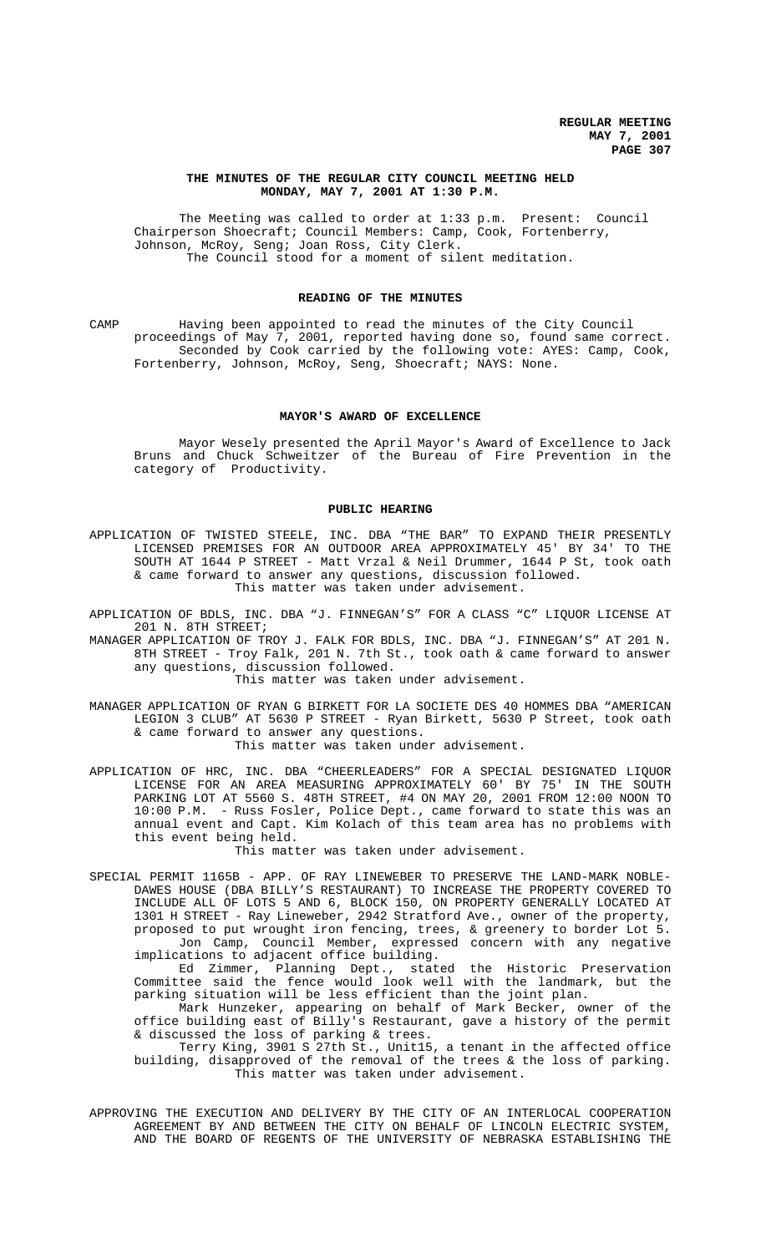### **THE MINUTES OF THE REGULAR CITY COUNCIL MEETING HELD MONDAY, MAY 7, 2001 AT 1:30 P.M.**

The Meeting was called to order at 1:33 p.m. Present: Council Chairperson Shoecraft; Council Members: Camp, Cook, Fortenberry, Johnson, McRoy, Seng; Joan Ross, City Clerk. The Council stood for a moment of silent meditation.

### **READING OF THE MINUTES**

CAMP Having been appointed to read the minutes of the City Council proceedings of May 7, 2001, reported having done so, found same correct. Seconded by Cook carried by the following vote: AYES: Camp, Cook, Fortenberry, Johnson, McRoy, Seng, Shoecraft; NAYS: None.

### **MAYOR'S AWARD OF EXCELLENCE**

Mayor Wesely presented the April Mayor's Award of Excellence to Jack Bruns and Chuck Schweitzer of the Bureau of Fire Prevention in the category of Productivity.

### **PUBLIC HEARING**

APPLICATION OF TWISTED STEELE, INC. DBA "THE BAR" TO EXPAND THEIR PRESENTLY LICENSED PREMISES FOR AN OUTDOOR AREA APPROXIMATELY 45' BY 34' TO THE SOUTH AT 1644 P STREET - Matt Vrzal & Neil Drummer, 1644 P St, took oath & came forward to answer any questions, discussion followed. This matter was taken under advisement.

APPLICATION OF BDLS, INC. DBA "J. FINNEGAN'S" FOR A CLASS "C" LIQUOR LICENSE AT 201 N. 8TH STREET;

MANAGER APPLICATION OF TROY J. FALK FOR BDLS, INC. DBA "J. FINNEGAN'S" AT 201 N. 8TH STREET - Troy Falk, 201 N. 7th St., took oath & came forward to answer any questions, discussion followed.

This matter was taken under advisement.

MANAGER APPLICATION OF RYAN G BIRKETT FOR LA SOCIETE DES 40 HOMMES DBA "AMERICAN LEGION 3 CLUB" AT 5630 P STREET - Ryan Birkett, 5630 P Street, took oath & came forward to answer any questions.

This matter was taken under advisement.

APPLICATION OF HRC, INC. DBA "CHEERLEADERS" FOR A SPECIAL DESIGNATED LIQUOR LICENSE FOR AN AREA MEASURING APPROXIMATELY 60' BY 75' IN THE SOUTH PARKING LOT AT 5560 S. 48TH STREET, #4 ON MAY 20, 2001 FROM 12:00 NOON TO 10:00 P.M. - Russ Fosler, Police Dept., came forward to state this was an annual event and Capt. Kim Kolach of this team area has no problems with this event being held.

This matter was taken under advisement.

SPECIAL PERMIT 1165B - APP. OF RAY LINEWEBER TO PRESERVE THE LAND-MARK NOBLE-DAWES HOUSE (DBA BILLY'S RESTAURANT) TO INCREASE THE PROPERTY COVERED TO INCLUDE ALL OF LOTS 5 AND 6, BLOCK 150, ON PROPERTY GENERALLY LOCATED AT 1301 H STREET - Ray Lineweber, 2942 Stratford Ave., owner of the property, proposed to put wrought iron fencing, trees, & greenery to border Lot 5. Jon Camp, Council Member, expressed concern with any negative implications to adjacent office building.

Ed Zimmer, Planning Dept., stated the Historic Preservation Committee said the fence would look well with the landmark, but the parking situation will be less efficient than the joint plan.

Mark Hunzeker, appearing on behalf of Mark Becker, owner of the office building east of Billy's Restaurant, gave a history of the permit & discussed the loss of parking & trees.

Terry King, 3901 S 27th St., Unit15, a tenant in the affected office building, disapproved of the removal of the trees & the loss of parking. This matter was taken under advisement.

APPROVING THE EXECUTION AND DELIVERY BY THE CITY OF AN INTERLOCAL COOPERATION AGREEMENT BY AND BETWEEN THE CITY ON BEHALF OF LINCOLN ELECTRIC SYSTEM, AND THE BOARD OF REGENTS OF THE UNIVERSITY OF NEBRASKA ESTABLISHING THE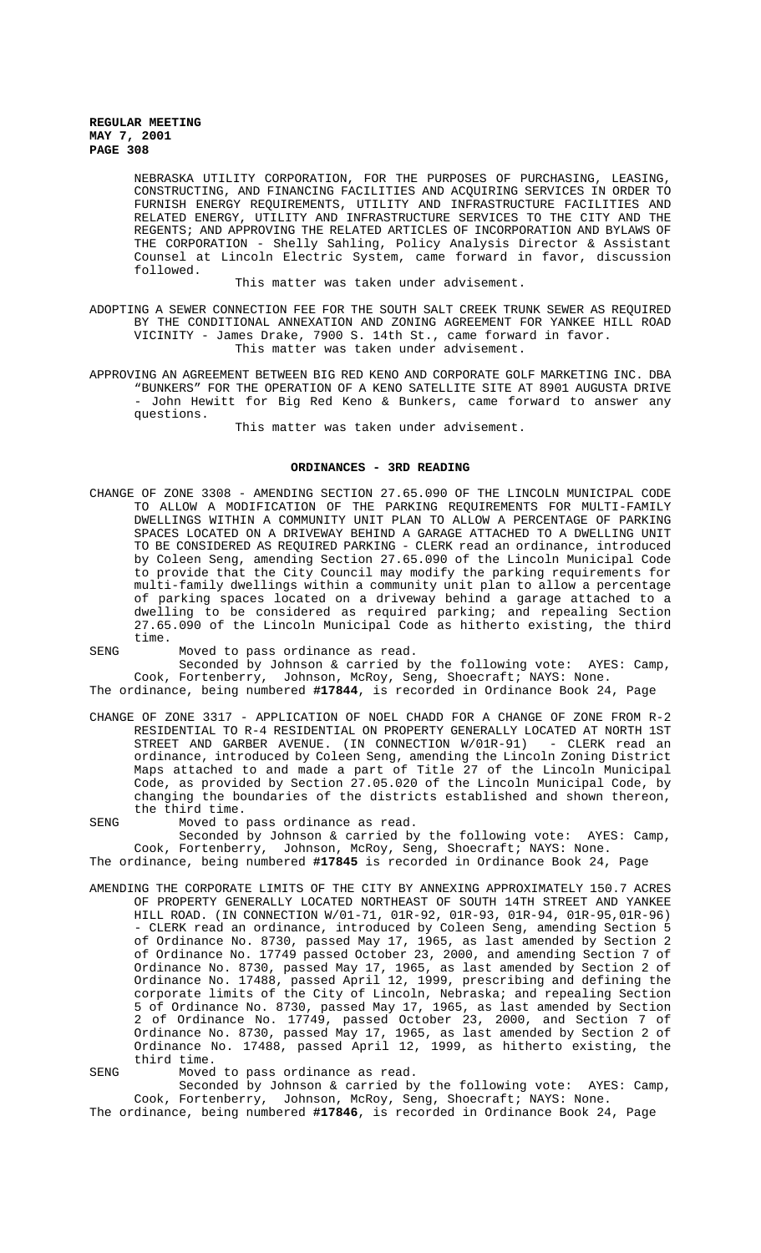NEBRASKA UTILITY CORPORATION, FOR THE PURPOSES OF PURCHASING, LEASING, CONSTRUCTING, AND FINANCING FACILITIES AND ACQUIRING SERVICES IN ORDER TO FURNISH ENERGY REQUIREMENTS, UTILITY AND INFRASTRUCTURE FACILITIES AND RELATED ENERGY, UTILITY AND INFRASTRUCTURE SERVICES TO THE CITY AND THE REGENTS; AND APPROVING THE RELATED ARTICLES OF INCORPORATION AND BYLAWS OF THE CORPORATION - Shelly Sahling, Policy Analysis Director & Assistant Counsel at Lincoln Electric System, came forward in favor, discussion followed.

This matter was taken under advisement.

- ADOPTING A SEWER CONNECTION FEE FOR THE SOUTH SALT CREEK TRUNK SEWER AS REQUIRED BY THE CONDITIONAL ANNEXATION AND ZONING AGREEMENT FOR YANKEE HILL ROAD VICINITY - James Drake, 7900 S. 14th St., came forward in favor. This matter was taken under advisement.
- APPROVING AN AGREEMENT BETWEEN BIG RED KENO AND CORPORATE GOLF MARKETING INC. DBA "BUNKERS" FOR THE OPERATION OF A KENO SATELLITE SITE AT 8901 AUGUSTA DRIVE - John Hewitt for Big Red Keno & Bunkers, came forward to answer any questions.

This matter was taken under advisement.

### **ORDINANCES - 3RD READING**

CHANGE OF ZONE 3308 - AMENDING SECTION 27.65.090 OF THE LINCOLN MUNICIPAL CODE TO ALLOW A MODIFICATION OF THE PARKING REQUIREMENTS FOR MULTI-FAMILY DWELLINGS WITHIN A COMMUNITY UNIT PLAN TO ALLOW A PERCENTAGE OF PARKING SPACES LOCATED ON A DRIVEWAY BEHIND A GARAGE ATTACHED TO A DWELLING UNIT TO BE CONSIDERED AS REQUIRED PARKING - CLERK read an ordinance, introduced by Coleen Seng, amending Section 27.65.090 of the Lincoln Municipal Code to provide that the City Council may modify the parking requirements for multi-family dwellings within a community unit plan to allow a percentage of parking spaces located on a driveway behind a garage attached to a dwelling to be considered as required parking; and repealing Section 27.65.090 of the Lincoln Municipal Code as hitherto existing, the third time.

SENG Moved to pass ordinance as read.

Seconded by Johnson & carried by the following vote: AYES: Camp, Cook, Fortenberry, Johnson, McRoy, Seng, Shoecraft; NAYS: None.

- The ordinance, being numbered **#17844**, is recorded in Ordinance Book 24, Page
- CHANGE OF ZONE 3317 APPLICATION OF NOEL CHADD FOR A CHANGE OF ZONE FROM R-2 RESIDENTIAL TO R-4 RESIDENTIAL ON PROPERTY GENERALLY LOCATED AT NORTH 1ST STREET AND GARBER AVENUE. (IN CONNECTION W/01R-91) - CLERK read an ordinance, introduced by Coleen Seng, amending the Lincoln Zoning District Maps attached to and made a part of Title 27 of the Lincoln Municipal Code, as provided by Section 27.05.020 of the Lincoln Municipal Code, by changing the boundaries of the districts established and shown thereon, the third time.
- SENG Moved to pass ordinance as read.

Seconded by Johnson & carried by the following vote: AYES: Camp, Cook, Fortenberry, Johnson, McRoy, Seng, Shoecraft; NAYS: None. The ordinance, being numbered **#17845** is recorded in Ordinance Book 24, Page

AMENDING THE CORPORATE LIMITS OF THE CITY BY ANNEXING APPROXIMATELY 150.7 ACRES OF PROPERTY GENERALLY LOCATED NORTHEAST OF SOUTH 14TH STREET AND YANKEE HILL ROAD. (IN CONNECTION W/01-71, 01R-92, 01R-93, 01R-94, 01R-95,01R-96) - CLERK read an ordinance, introduced by Coleen Seng, amending Section 5 of Ordinance No. 8730, passed May 17, 1965, as last amended by Section 2 of Ordinance No. 17749 passed October 23, 2000, and amending Section 7 of Ordinance No. 8730, passed May 17, 1965, as last amended by Section 2 of Ordinance No. 17488, passed April 12, 1999, prescribing and defining the corporate limits of the City of Lincoln, Nebraska; and repealing Section 5 of Ordinance No. 8730, passed May 17, 1965, as last amended by Section 2 of Ordinance No. 17749, passed October 23, 2000, and Section 7 of Ordinance No. 8730, passed May 17, 1965, as last amended by Section 2 of Ordinance No. 17488, passed April 12, 1999, as hitherto existing, the third time.

SENG Moved to pass ordinance as read.

Seconded by Johnson & carried by the following vote: AYES: Camp, Cook, Fortenberry, Johnson, McRoy, Seng, Shoecraft; NAYS: None.

The ordinance, being numbered **#17846**, is recorded in Ordinance Book 24, Page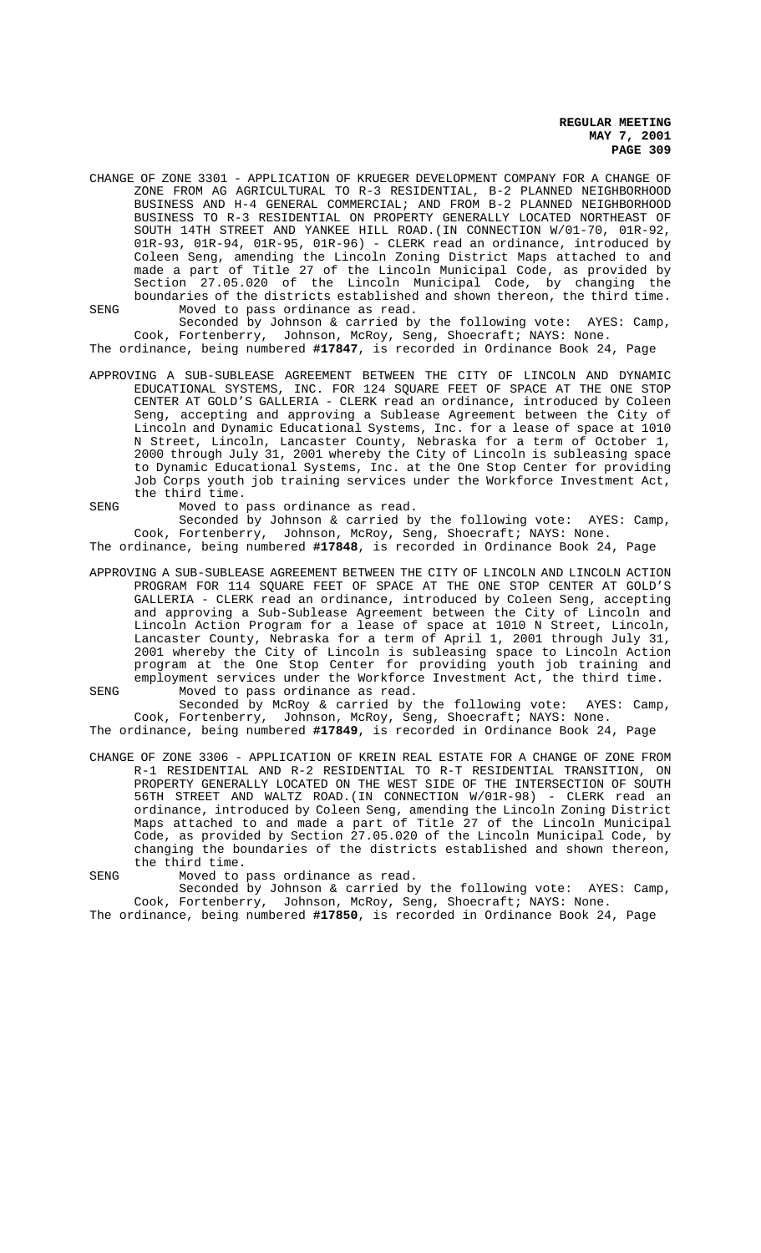- CHANGE OF ZONE 3301 APPLICATION OF KRUEGER DEVELOPMENT COMPANY FOR A CHANGE OF ZONE FROM AG AGRICULTURAL TO R-3 RESIDENTIAL, B-2 PLANNED NEIGHBORHOOD BUSINESS AND H-4 GENERAL COMMERCIAL; AND FROM B-2 PLANNED NEIGHBORHOOD BUSINESS TO R-3 RESIDENTIAL ON PROPERTY GENERALLY LOCATED NORTHEAST OF SOUTH 14TH STREET AND YANKEE HILL ROAD.(IN CONNECTION W/01-70, 01R-92, 01R-93, 01R-94, 01R-95, 01R-96) - CLERK read an ordinance, introduced by Coleen Seng, amending the Lincoln Zoning District Maps attached to and made a part of Title 27 of the Lincoln Municipal Code, as provided by<br>Section 27.05.020 of the Lincoln Municipal Code, by changing the Section 27.05.020 of the Lincoln Municipal Code, by changing the boundaries of the districts established and shown thereon, the third time.
- SENG Moved to pass ordinance as read. Seconded by Johnson & carried by the following vote: AYES: Camp, Cook, Fortenberry, Johnson, McRoy, Seng, Shoecraft; NAYS: None.

The ordinance, being numbered **#17847**, is recorded in Ordinance Book 24, Page

- APPROVING A SUB-SUBLEASE AGREEMENT BETWEEN THE CITY OF LINCOLN AND DYNAMIC EDUCATIONAL SYSTEMS, INC. FOR 124 SQUARE FEET OF SPACE AT THE ONE STOP CENTER AT GOLD'S GALLERIA - CLERK read an ordinance, introduced by Coleen Seng, accepting and approving a Sublease Agreement between the City of Lincoln and Dynamic Educational Systems, Inc. for a lease of space at 1010 N Street, Lincoln, Lancaster County, Nebraska for a term of October 1, 2000 through July 31, 2001 whereby the City of Lincoln is subleasing space to Dynamic Educational Systems, Inc. at the One Stop Center for providing Job Corps youth job training services under the Workforce Investment Act, the third time.
- 

SENG Moved to pass ordinance as read.

Seconded by Johnson & carried by the following vote: AYES: Camp, Cook, Fortenberry, Johnson, McRoy, Seng, Shoecraft; NAYS: None.

The ordinance, being numbered **#17848**, is recorded in Ordinance Book 24, Page

APPROVING A SUB-SUBLEASE AGREEMENT BETWEEN THE CITY OF LINCOLN AND LINCOLN ACTION PROGRAM FOR 114 SQUARE FEET OF SPACE AT THE ONE STOP CENTER AT GOLD'S GALLERIA - CLERK read an ordinance, introduced by Coleen Seng, accepting and approving a Sub-Sublease Agreement between the City of Lincoln and Lincoln Action Program for a lease of space at 1010 N Street, Lincoln, Lancaster County, Nebraska for a term of April 1, 2001 through July 31, 2001 whereby the City of Lincoln is subleasing space to Lincoln Action program at the One Stop Center for providing youth job training and employment services under the Workforce Investment Act, the third time. SENG Moved to pass ordinance as read.

Seconded by McRoy & carried by the following vote: AYES: Camp, Cook, Fortenberry, Johnson, McRoy, Seng, Shoecraft; NAYS: None.

The ordinance, being numbered **#17849**, is recorded in Ordinance Book 24, Page

CHANGE OF ZONE 3306 - APPLICATION OF KREIN REAL ESTATE FOR A CHANGE OF ZONE FROM R-1 RESIDENTIAL AND R-2 RESIDENTIAL TO R-T RESIDENTIAL TRANSITION, ON PROPERTY GENERALLY LOCATED ON THE WEST SIDE OF THE INTERSECTION OF SOUTH 56TH STREET AND WALTZ ROAD.(IN CONNECTION W/01R-98) - CLERK read an ordinance, introduced by Coleen Seng, amending the Lincoln Zoning District Maps attached to and made a part of Title 27 of the Lincoln Municipal Code, as provided by Section 27.05.020 of the Lincoln Municipal Code, by changing the boundaries of the districts established and shown thereon, the third time.

SENG Moved to pass ordinance as read.

Seconded by Johnson & carried by the following vote: AYES: Camp, Cook, Fortenberry, Johnson, McRoy, Seng, Shoecraft; NAYS: None.

The ordinance, being numbered **#17850**, is recorded in Ordinance Book 24, Page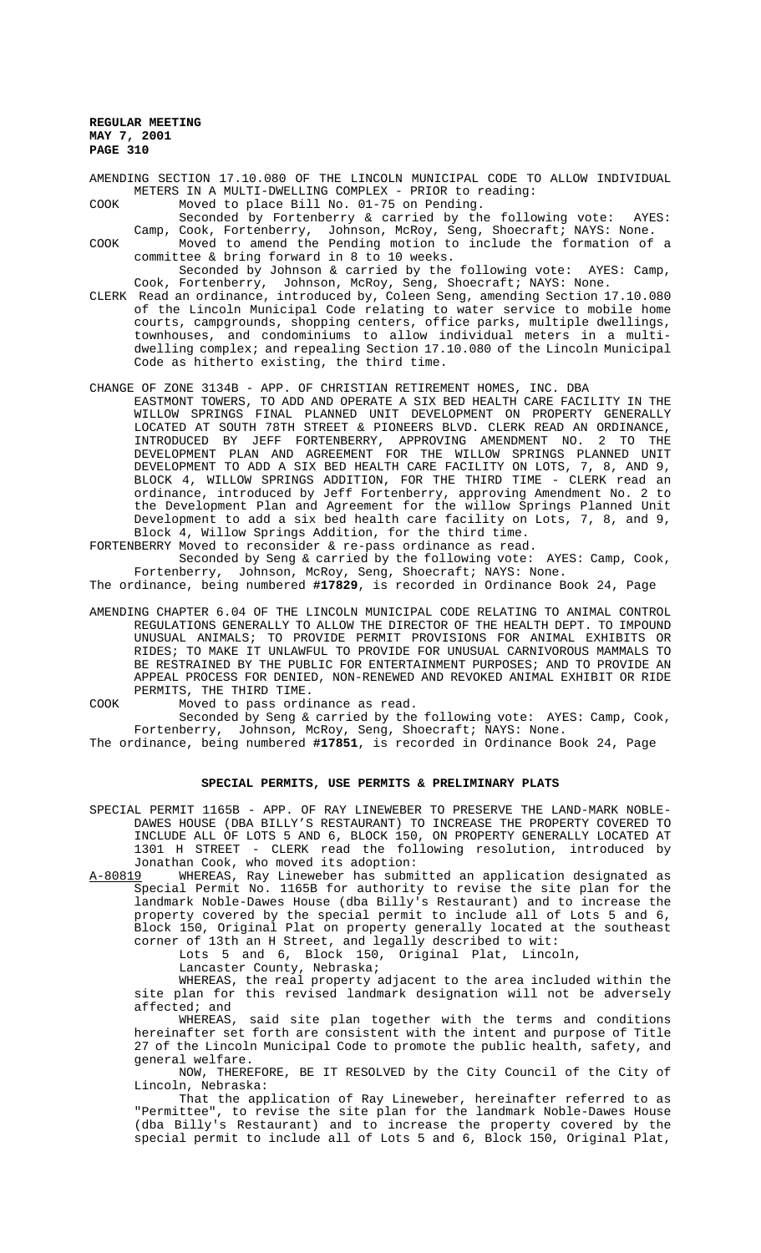AMENDING SECTION 17.10.080 OF THE LINCOLN MUNICIPAL CODE TO ALLOW INDIVIDUAL METERS IN A MULTI-DWELLING COMPLEX - PRIOR to reading:

- COOK Moved to place Bill No. 01-75 on Pending. Seconded by Fortenberry & carried by the following vote: AYES:
- Camp, Cook, Fortenberry, Johnson, McRoy, Seng, Shoecraft; NAYS: None. COOK Moved to amend the Pending motion to include the formation of a committee & bring forward in 8 to 10 weeks. Seconded by Johnson & carried by the following vote: AYES: Camp,

Cook, Fortenberry, Johnson, McRoy, Seng, Shoecraft; NAYS: None. CLERK Read an ordinance, introduced by, Coleen Seng, amending Section 17.10.080 of the Lincoln Municipal Code relating to water service to mobile home courts, campgrounds, shopping centers, office parks, multiple dwellings, townhouses, and condominiums to allow individual meters in a multidwelling complex; and repealing Section 17.10.080 of the Lincoln Municipal Code as hitherto existing, the third time.

CHANGE OF ZONE 3134B - APP. OF CHRISTIAN RETIREMENT HOMES, INC. DBA

EASTMONT TOWERS, TO ADD AND OPERATE A SIX BED HEALTH CARE FACILITY IN THE WILLOW SPRINGS FINAL PLANNED UNIT DEVELOPMENT ON PROPERTY GENERALLY LOCATED AT SOUTH 78TH STREET & PIONEERS BLVD. CLERK READ AN ORDINANCE, INTRODUCED BY JEFF FORTENBERRY, APPROVING AMENDMENT NO. 2 TO THE DEVELOPMENT PLAN AND AGREEMENT FOR THE WILLOW SPRINGS PLANNED UNIT DEVELOPMENT TO ADD A SIX BED HEALTH CARE FACILITY ON LOTS, 7, 8, AND 9, BLOCK 4, WILLOW SPRINGS ADDITION, FOR THE THIRD TIME - CLERK read an ordinance, introduced by Jeff Fortenberry, approving Amendment No. 2 to the Development Plan and Agreement for the willow Springs Planned Unit Development to add a six bed health care facility on Lots, 7, 8, and 9, Block 4, Willow Springs Addition, for the third time.

FORTENBERRY Moved to reconsider & re-pass ordinance as read.

Seconded by Seng & carried by the following vote: AYES: Camp, Cook, Fortenberry, Johnson, McRoy, Seng, Shoecraft; NAYS: None.

The ordinance, being numbered **#17829**, is recorded in Ordinance Book 24, Page

AMENDING CHAPTER 6.04 OF THE LINCOLN MUNICIPAL CODE RELATING TO ANIMAL CONTROL REGULATIONS GENERALLY TO ALLOW THE DIRECTOR OF THE HEALTH DEPT. TO IMPOUND UNUSUAL ANIMALS; TO PROVIDE PERMIT PROVISIONS FOR ANIMAL EXHIBITS OR RIDES; TO MAKE IT UNLAWFUL TO PROVIDE FOR UNUSUAL CARNIVOROUS MAMMALS TO BE RESTRAINED BY THE PUBLIC FOR ENTERTAINMENT PURPOSES; AND TO PROVIDE AN APPEAL PROCESS FOR DENIED, NON-RENEWED AND REVOKED ANIMAL EXHIBIT OR RIDE PERMITS, THE THIRD TIME.

COOK Moved to pass ordinance as read.

Seconded by Seng & carried by the following vote: AYES: Camp, Cook, Fortenberry, Johnson, McRoy, Seng, Shoecraft; NAYS: None.

The ordinance, being numbered **#17851**, is recorded in Ordinance Book 24, Page

### **SPECIAL PERMITS, USE PERMITS & PRELIMINARY PLATS**

SPECIAL PERMIT 1165B - APP. OF RAY LINEWEBER TO PRESERVE THE LAND-MARK NOBLE-DAWES HOUSE (DBA BILLY'S RESTAURANT) TO INCREASE THE PROPERTY COVERED TO INCLUDE ALL OF LOTS 5 AND 6, BLOCK 150, ON PROPERTY GENERALLY LOCATED AT 1301 H STREET - CLERK read the following resolution, introduced by Jonathan Cook, who moved its adoption:<br>A-80819 WHEREAS, Ray Lineweber has submi

WHEREAS, Ray Lineweber has submitted an application designated as Special Permit No. 1165B for authority to revise the site plan for the landmark Noble-Dawes House (dba Billy's Restaurant) and to increase the property covered by the special permit to include all of Lots 5 and 6, Block 150, Original Plat on property generally located at the southeast corner of 13th an H Street, and legally described to wit:

Lots 5 and 6, Block 150, Original Plat, Lincoln,

Lancaster County, Nebraska;

WHEREAS, the real property adjacent to the area included within the site plan for this revised landmark designation will not be adversely affected; and

WHEREAS, said site plan together with the terms and conditions hereinafter set forth are consistent with the intent and purpose of Title 27 of the Lincoln Municipal Code to promote the public health, safety, and general welfare.

NOW, THEREFORE, BE IT RESOLVED by the City Council of the City of Lincoln, Nebraska:

That the application of Ray Lineweber, hereinafter referred to as "Permittee", to revise the site plan for the landmark Noble-Dawes House (dba Billy's Restaurant) and to increase the property covered by the special permit to include all of Lots 5 and 6, Block 150, Original Plat,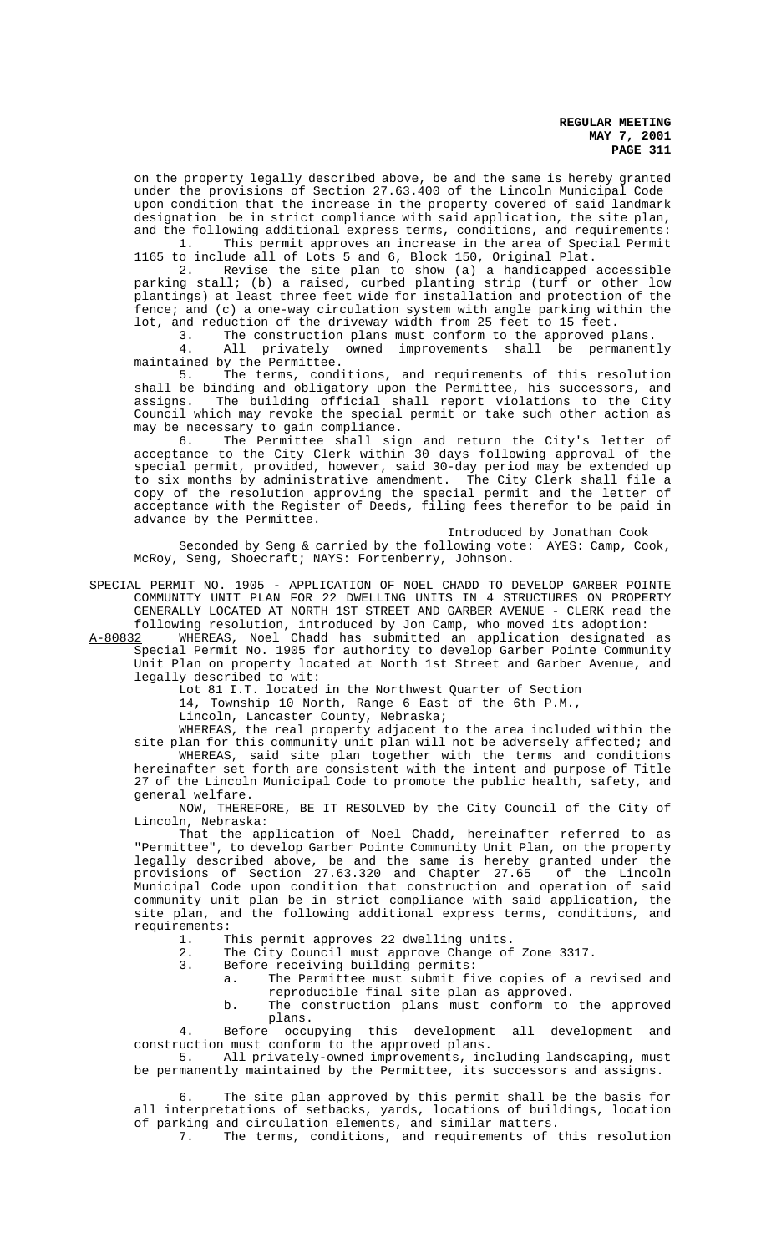on the property legally described above, be and the same is hereby granted under the provisions of Section 27.63.400 of the Lincoln Municipal Code upon condition that the increase in the property covered of said landmark designation be in strict compliance with said application, the site plan, and the following additional express terms, conditions, and requirements: 1. This permit approves an increase in the area of Special Permit

1165 to include all of Lots 5 and 6, Block 150, Original Plat.

Revise the site plan to show (a) a handicapped accessible parking stall; (b) a raised, curbed planting strip (turf or other low plantings) at least three feet wide for installation and protection of the fence; and (c) a one-way circulation system with angle parking within the lot, and reduction of the driveway width from 25 feet to 15 feet.<br>3. The construction plans must conform to the approved p

The construction plans must conform to the approved plans. 4. All privately owned improvements shall be permanently maintained by the Permittee.

5. The terms, conditions, and requirements of this resolution shall be binding and obligatory upon the Permittee, his successors, and assigns. The building official shall report violations to the City Council which may revoke the special permit or take such other action as may be necessary to gain compliance.

6. The Permittee shall sign and return the City's letter of acceptance to the City Clerk within 30 days following approval of the special permit, provided, however, said 30-day period may be extended up to six months by administrative amendment. The City Clerk shall file a copy of the resolution approving the special permit and the letter of acceptance with the Register of Deeds, filing fees therefor to be paid in advance by the Permittee.

Introduced by Jonathan Cook

Seconded by Seng & carried by the following vote: AYES: Camp, Cook, McRoy, Seng, Shoecraft; NAYS: Fortenberry, Johnson.

SPECIAL PERMIT NO. 1905 - APPLICATION OF NOEL CHADD TO DEVELOP GARBER POINTE COMMUNITY UNIT PLAN FOR 22 DWELLING UNITS IN 4 STRUCTURES ON PROPERTY GENERALLY LOCATED AT NORTH 1ST STREET AND GARBER AVENUE - CLERK read the

following resolution, introduced by Jon Camp, who moved its adoption:<br>A-80832 WHEREAS, Noel Chadd has submitted an application designated WHEREAS, Noel Chadd has submitted an application designated as Special Permit No. 1905 for authority to develop Garber Pointe Community Unit Plan on property located at North 1st Street and Garber Avenue, and legally described to wit:

Lot 81 I.T. located in the Northwest Quarter of Section

14, Township 10 North, Range 6 East of the 6th P.M.,

Lincoln, Lancaster County, Nebraska;

WHEREAS, the real property adjacent to the area included within the site plan for this community unit plan will not be adversely affected; and WHEREAS, said site plan together with the terms and conditions hereinafter set forth are consistent with the intent and purpose of Title 27 of the Lincoln Municipal Code to promote the public health, safety, and general welfare.

NOW, THEREFORE, BE IT RESOLVED by the City Council of the City of Lincoln, Nebraska:

That the application of Noel Chadd, hereinafter referred to as "Permittee", to develop Garber Pointe Community Unit Plan, on the property legally described above, be and the same is hereby granted under the provisions of Section 27.63.320 and Chapter 27.65 of the Lincoln Municipal Code upon condition that construction and operation of said community unit plan be in strict compliance with said application, the site plan, and the following additional express terms, conditions, and requirements:<br>1. T

1. This permit approves 22 dwelling units.<br>2. The City Council must approve Change of

2. The City Council must approve Change of Zone 3317.<br>3. Before receiving building permits:

- Before receiving building permits:
	- a. The Permittee must submit five copies of a revised and reproducible final site plan as approved.

b. The construction plans must conform to the approved plans.

4. Before occupying this development all development and construction must conform to the approved plans.

5. All privately-owned improvements, including landscaping, must be permanently maintained by the Permittee, its successors and assigns.

6. The site plan approved by this permit shall be the basis for all interpretations of setbacks, yards, locations of buildings, location of parking and circulation elements, and similar matters.

7. The terms, conditions, and requirements of this resolution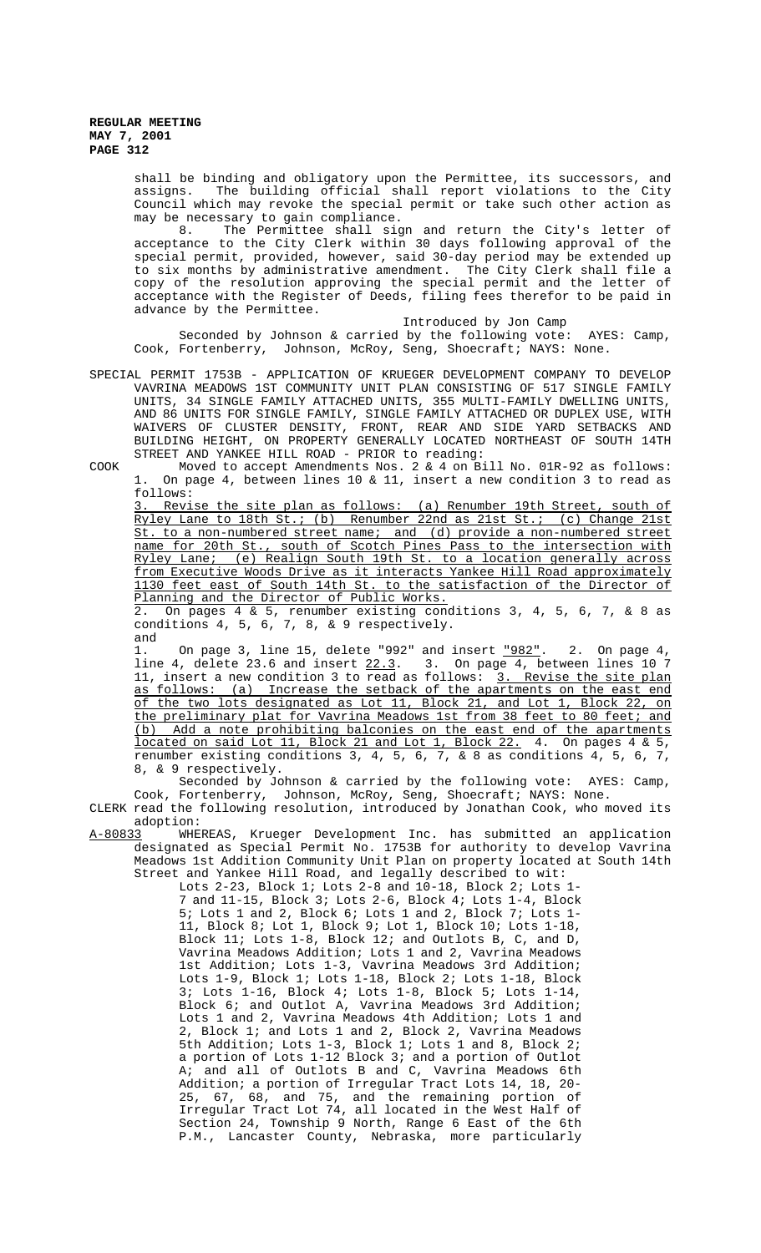> shall be binding and obligatory upon the Permittee, its successors, and assigns. The building official shall report violations to the City Council which may revoke the special permit or take such other action as may be necessary to gain compliance.

> 8. The Permittee shall sign and return the City's letter of acceptance to the City Clerk within 30 days following approval of the special permit, provided, however, said 30-day period may be extended up to six months by administrative amendment. The City Clerk shall file a copy of the resolution approving the special permit and the letter of acceptance with the Register of Deeds, filing fees therefor to be paid in advance by the Permittee.

Introduced by Jon Camp Seconded by Johnson & carried by the following vote: AYES: Camp, Cook, Fortenberry, Johnson, McRoy, Seng, Shoecraft; NAYS: None.

SPECIAL PERMIT 1753B - APPLICATION OF KRUEGER DEVELOPMENT COMPANY TO DEVELOP VAVRINA MEADOWS 1ST COMMUNITY UNIT PLAN CONSISTING OF 517 SINGLE FAMILY UNITS, 34 SINGLE FAMILY ATTACHED UNITS, 355 MULTI-FAMILY DWELLING UNITS, AND 86 UNITS FOR SINGLE FAMILY, SINGLE FAMILY ATTACHED OR DUPLEX USE, WITH WAIVERS OF CLUSTER DENSITY, FRONT, REAR AND SIDE YARD SETBACKS AND BUILDING HEIGHT, ON PROPERTY GENERALLY LOCATED NORTHEAST OF SOUTH 14TH STREET AND YANKEE HILL ROAD - PRIOR to reading:

COOK Moved to accept Amendments Nos. 2 & 4 on Bill No. 01R-92 as follows: 1. On page 4, between lines 10 & 11, insert a new condition 3 to read as follows:

3. Revise the site plan as follows: (a) Renumber 19th Street, south of Ryley Lane to 18th St.; (b) Renumber 22nd as 21st St.; (c) Change 21st St. to a non-numbered street name; and (d) provide a non-numbered street name for 20th St., south of Scotch Pines Pass to the intersection with Ryley Lane; (e) Realign South 19th St. to a location generally across from Executive Woods Drive as it interacts Yankee Hill Road approximately 1130 feet east of South 14th St. to the satisfaction of the Director of Planning and the Director of Public Works.

2. On pages 4 & 5, renumber existing conditions 3, 4, 5, 6, 7, & 8 as conditions 4, 5, 6, 7, 8, & 9 respectively. and

1. On page 3, line 15, delete "992" and insert "982". 2. On page 4, line  $4$ , delete  $23.6$  and insert  $22.3.$  3. On page  $4$ , between lines  $10\,7$ 11, insert a new condition 3 to read as follows: 3. Revise the site plan as follows: (a) Increase the setback of the apartments on the east end of the two lots designated as Lot 11, Block 21, and Lot 1, Block 22, on the preliminary plat for Vavrina Meadows 1st from 38 feet to 80 feet; and (b) Add a note prohibiting balconies on the east end of the apartments located on said Lot 11, Block 21 and Lot 1, Block 22. 4. On pages 4 & 5, renumber existing conditions 3, 4, 5, 6, 7, & 8 as conditions 4, 5, 6, 7, 8, & 9 respectively.

Seconded by Johnson & carried by the following vote: AYES: Camp, Cook, Fortenberry, Johnson, McRoy, Seng, Shoecraft; NAYS: None.

CLERK read the following resolution, introduced by Jonathan Cook, who moved its adoption:<br>A-80833 WHE

WHEREAS, Krueger Development Inc. has submitted an application designated as Special Permit No. 1753B for authority to develop Vavrina Meadows 1st Addition Community Unit Plan on property located at South 14th Street and Yankee Hill Road, and legally described to wit:

Lots 2-23, Block 1; Lots 2-8 and  $10-18$ , Block 2; Lots 1-7 and 11-15, Block 3; Lots 2-6, Block 4; Lots 1-4, Block 5; Lots 1 and 2, Block 6; Lots 1 and 2, Block 7; Lots 1- 11, Block 8; Lot 1, Block 9; Lot 1, Block 10; Lots 1-18, Block 11; Lots 1-8, Block 12; and Outlots B, C, and D, Vavrina Meadows Addition; Lots 1 and 2, Vavrina Meadows 1st Addition; Lots 1-3, Vavrina Meadows 3rd Addition; Lots 1-9, Block 1; Lots 1-18, Block 2; Lots 1-18, Block 3; Lots 1-16, Block 4; Lots 1-8, Block 5; Lots 1-14, Block 6; and Outlot A, Vavrina Meadows 3rd Addition; Lots 1 and 2, Vavrina Meadows 4th Addition; Lots 1 and 2, Block 1; and Lots 1 and 2, Block 2, Vavrina Meadows 5th Addition; Lots 1-3, Block 1; Lots 1 and 8, Block 2; a portion of Lots 1-12 Block 3; and a portion of Outlot A; and all of Outlots B and C, Vavrina Meadows 6th Addition; a portion of Irregular Tract Lots 14, 18, 20- 25, 67, 68, and 75, and the remaining portion of Irregular Tract Lot 74, all located in the West Half of Section 24, Township 9 North, Range 6 East of the 6th P.M., Lancaster County, Nebraska, more particularly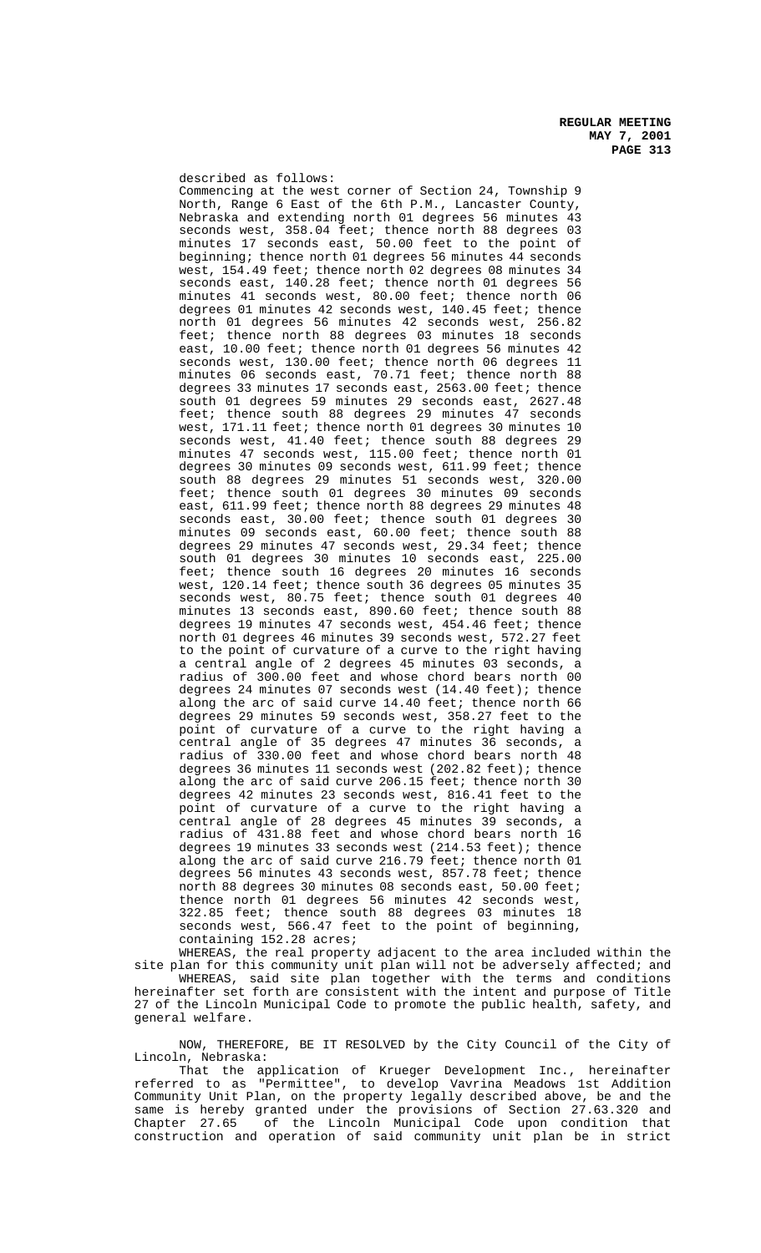described as follows: Commencing at the west corner of Section 24, Township 9 North, Range 6 East of the 6th P.M., Lancaster County, Nebraska and extending north 01 degrees 56 minutes 43 seconds west, 358.04 feet; thence north 88 degrees 03 minutes 17 seconds east, 50.00 feet to the point of beginning; thence north 01 degrees 56 minutes 44 seconds west, 154.49 feet; thence north 02 degrees 08 minutes 34 seconds east, 140.28 feet; thence north 01 degrees 56 minutes 41 seconds west, 80.00 feet; thence north 06 degrees 01 minutes 42 seconds west, 140.45 feet; thence north 01 degrees 56 minutes 42 seconds west, 256.82 feet; thence north 88 degrees 03 minutes 18 seconds east, 10.00 feet; thence north 01 degrees 56 minutes 42 seconds west, 130.00 feet; thence north 06 degrees 11 minutes 06 seconds east, 70.71 feet; thence north 88 degrees 33 minutes 17 seconds east, 2563.00 feet; thence south 01 degrees 59 minutes 29 seconds east, 2627.48 feet; thence south 88 degrees 29 minutes 47 seconds west, 171.11 feet; thence north 01 degrees 30 minutes 10 seconds west, 41.40 feet; thence south 88 degrees 29 minutes 47 seconds west, 115.00 feet; thence north 01 degrees 30 minutes 09 seconds west, 611.99 feet; thence south 88 degrees 29 minutes 51 seconds west, 320.00 feet; thence south 01 degrees 30 minutes 09 seconds east, 611.99 feet; thence north 88 degrees 29 minutes 48 seconds east, 30.00 feet; thence south 01 degrees 30 minutes 09 seconds east, 60.00 feet; thence south 88 degrees 29 minutes 47 seconds west, 29.34 feet; thence south 01 degrees 30 minutes 10 seconds east, 225.00 feet; thence south 16 degrees 20 minutes 16 seconds west, 120.14 feet; thence south 36 degrees 05 minutes 35 seconds west, 80.75 feet; thence south 01 degrees 40 minutes 13 seconds east, 890.60 feet; thence south 88 degrees 19 minutes 47 seconds west, 454.46 feet; thence north 01 degrees 46 minutes 39 seconds west, 572.27 feet to the point of curvature of a curve to the right having a central angle of 2 degrees 45 minutes 03 seconds, a radius of 300.00 feet and whose chord bears north 00 degrees 24 minutes 07 seconds west (14.40 feet); thence along the arc of said curve 14.40 feet; thence north 66 degrees 29 minutes 59 seconds west, 358.27 feet to the point of curvature of a curve to the right having a central angle of 35 degrees 47 minutes 36 seconds, radius of 330.00 feet and whose chord bears north 48 degrees 36 minutes 11 seconds west (202.82 feet); thence along the arc of said curve 206.15 feet; thence north 30 degrees 42 minutes 23 seconds west, 816.41 feet to the point of curvature of a curve to the right having a central angle of 28 degrees 45 minutes 39 seconds, a radius of 431.88 feet and whose chord bears north 16 degrees 19 minutes 33 seconds west (214.53 feet); thence along the arc of said curve 216.79 feet; thence north 01 degrees 56 minutes 43 seconds west, 857.78 feet; thence north 88 degrees 30 minutes 08 seconds east, 50.00 feet; thence north 01 degrees 56 minutes 42 seconds west, 322.85 feet; thence south 88 degrees 03 minutes 18 seconds west, 566.47 feet to the point of beginning, containing 152.28 acres;

WHEREAS, the real property adjacent to the area included within the site plan for this community unit plan will not be adversely affected; and

WHEREAS, said site plan together with the terms and conditions hereinafter set forth are consistent with the intent and purpose of Title 27 of the Lincoln Municipal Code to promote the public health, safety, and general welfare.

NOW, THEREFORE, BE IT RESOLVED by the City Council of the City of Lincoln, Nebraska:

That the application of Krueger Development Inc., hereinafter referred to as "Permittee", to develop Vavrina Meadows 1st Addition Community Unit Plan, on the property legally described above, be and the same is hereby granted under the provisions of Section 27.63.320 and<br>Chapter 27.65 of the Lincoln Municipal Code upon condition that of the Lincoln Municipal Code upon condition that construction and operation of said community unit plan be in strict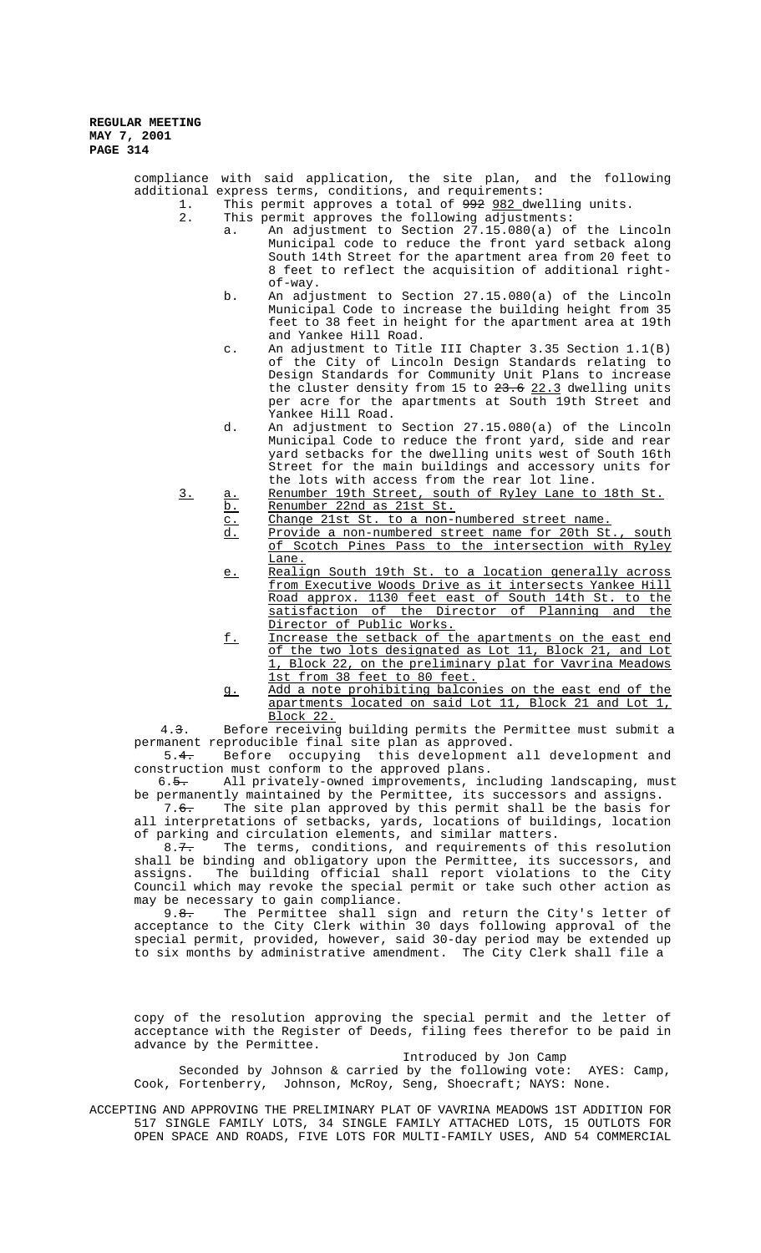compliance with said application, the site plan, and the following additional express terms, conditions, and requirements:<br>1. This permit approves a total of  $992\,982$  dwe

1. This permit approves a total of  $\frac{992}{992}$  dwelling units.<br>2. This permit approves the following adjustments:

- This permit approves the following adjustments:
	- a. An adjustment to Section 27.15.080(a) of the Lincoln Municipal code to reduce the front yard setback along South 14th Street for the apartment area from 20 feet to 8 feet to reflect the acquisition of additional rightof-way.
	- b. An adjustment to Section 27.15.080(a) of the Lincoln Municipal Code to increase the building height from 35 feet to 38 feet in height for the apartment area at 19th and Yankee Hill Road.
	- c. An adjustment to Title III Chapter 3.35 Section 1.1(B) of the City of Lincoln Design Standards relating to Design Standards for Community Unit Plans to increase the cluster density from 15 to 23.6 22.3 dwelling units per acre for the apartments at South 19th Street and Yankee Hill Road.
	- d. An adjustment to Section 27.15.080(a) of the Lincoln Municipal Code to reduce the front yard, side and rear yard setbacks for the dwelling units west of South 16th Street for the main buildings and accessory units for the lots with access from the rear lot line.
- 3. a. Renumber 19th Street, south of Ryley Lane to 18th St.
	- b. Renumber 22nd as 21st St.
		- c. Change 21st St. to a non-numbered street name.
		- d. Provide a non-numbered street name for 20th St., south of Scotch Pines Pass to the intersection with Ryley Lane.
		- e. Realign South 19th St. to a location generally across from Executive Woods Drive as it intersects Yankee Hill Road approx. 1130 feet east of South 14th St. to the satisfaction of the Director of Planning and the Director of Public Works.
		- f. Increase the setback of the apartments on the east end of the two lots designated as Lot 11, Block 21, and Lot 1, Block 22, on the preliminary plat for Vavrina Meadows 1st from 38 feet to 80 feet.
		- g. Add a note prohibiting balconies on the east end of the apartments located on said Lot 11, Block 21 and Lot 1, Block 22.

 4.3. Before receiving building permits the Permittee must submit a permanent reproducible final site plan as approved.

 5.4. Before occupying this development all development and construction must conform to the approved plans.

6.<del>5.</del> All privately-owned improvements, including landscaping, must be permanently maintained by the Permittee, its successors and assigns.

7.<del>6.</del> The site plan approved by this permit shall be the basis for all interpretations of setbacks, yards, locations of buildings, location of parking and circulation elements, and similar matters.<br>8.7. The terms, conditions, and requirements of

The terms, conditions, and requirements of this resolution shall be binding and obligatory upon the Permittee, its successors, and assigns. The building official shall report violations to the City Council which may revoke the special permit or take such other action as may be necessary to gain compliance.

9.<del>8.</del> The Permittee shall sign and return the City's letter of acceptance to the City Clerk within 30 days following approval of the special permit, provided, however, said 30-day period may be extended up to six months by administrative amendment. The City Clerk shall file a

copy of the resolution approving the special permit and the letter of acceptance with the Register of Deeds, filing fees therefor to be paid in advance by the Permittee.

# Introduced by Jon Camp

Seconded by Johnson & carried by the following vote: AYES: Camp, Cook, Fortenberry, Johnson, McRoy, Seng, Shoecraft; NAYS: None.

ACCEPTING AND APPROVING THE PRELIMINARY PLAT OF VAVRINA MEADOWS 1ST ADDITION FOR 517 SINGLE FAMILY LOTS, 34 SINGLE FAMILY ATTACHED LOTS, 15 OUTLOTS FOR OPEN SPACE AND ROADS, FIVE LOTS FOR MULTI-FAMILY USES, AND 54 COMMERCIAL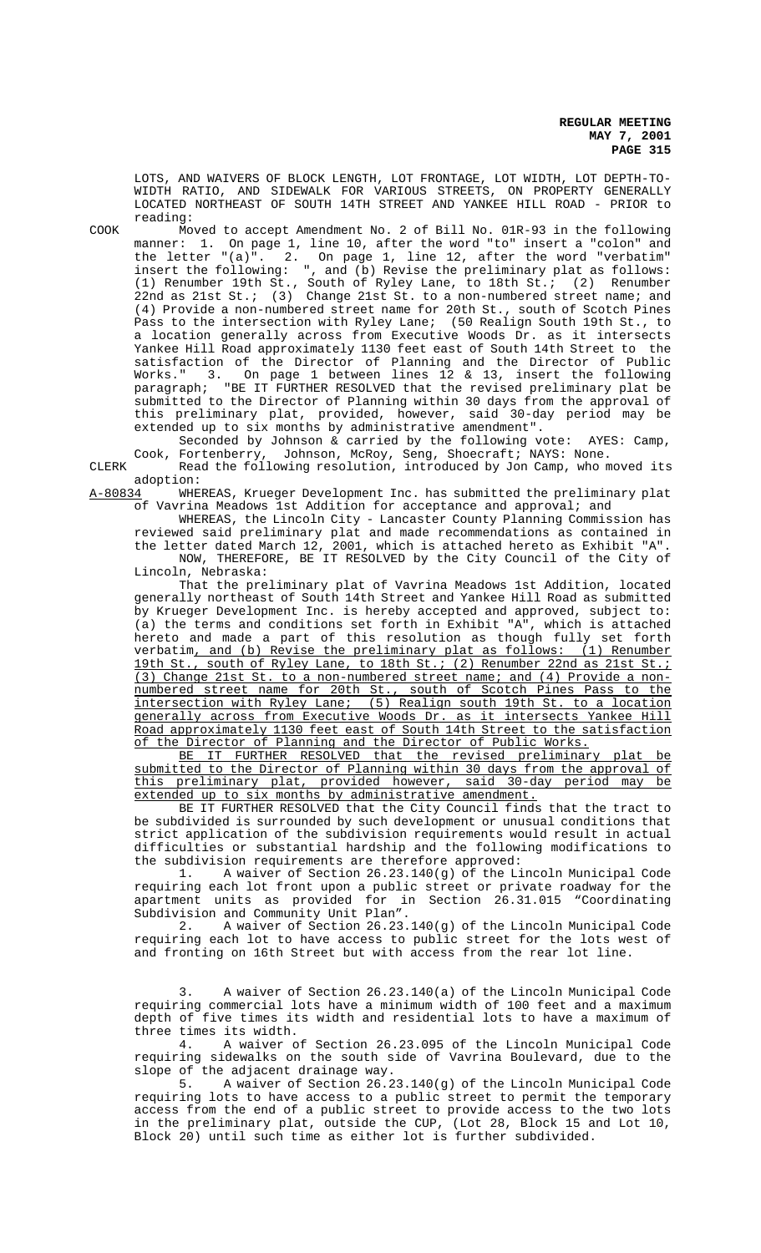LOTS, AND WAIVERS OF BLOCK LENGTH, LOT FRONTAGE, LOT WIDTH, LOT DEPTH-TO-WIDTH RATIO, AND SIDEWALK FOR VARIOUS STREETS, ON PROPERTY GENERALLY LOCATED NORTHEAST OF SOUTH 14TH STREET AND YANKEE HILL ROAD - PRIOR to reading:

COOK Moved to accept Amendment No. 2 of Bill No. 01R-93 in the following manner: 1. On page 1, line 10, after the word "to" insert a "colon" and the letter "(a)". 2. On page 1, line 12, after the word "verbatim" insert the following: ", and (b) Revise the preliminary plat as follows: (1) Renumber 19th St., South of Ryley Lane, to 18th St.; (2) Renumber 22nd as 21st St.; (3) Change 21st St. to a non-numbered street name; and (4) Provide a non-numbered street name for 20th St., south of Scotch Pines Pass to the intersection with Ryley Lane; (50 Realign South 19th St., to a location generally across from Executive Woods Dr. as it intersects Yankee Hill Road approximately 1130 feet east of South 14th Street to the satisfaction of the Director of Planning and the Director of Public Works." 3. On page 1 between lines 12 & 13, insert the following paragraph; "BE IT FURTHER RESOLVED that the revised preliminary plat be submitted to the Director of Planning within 30 days from the approval of this preliminary plat, provided, however, said 30-day period may be extended up to six months by administrative amendment".

Seconded by Johnson & carried by the following vote: AYES: Camp, Cook, Fortenberry, Johnson, McRoy, Seng, Shoecraft; NAYS: None.

CLERK Read the following resolution, introduced by Jon Camp, who moved its adoption:<br>A-80834 WHE

WHEREAS, Krueger Development Inc. has submitted the preliminary plat of Vavrina Meadows 1st Addition for acceptance and approval; and

WHEREAS, the Lincoln City - Lancaster County Planning Commission has reviewed said preliminary plat and made recommendations as contained in the letter dated March 12, 2001, which is attached hereto as Exhibit "A". NOW, THEREFORE, BE IT RESOLVED by the City Council of the City of

Lincoln, Nebraska:

That the preliminary plat of Vavrina Meadows 1st Addition, located generally northeast of South 14th Street and Yankee Hill Road as submitted by Krueger Development Inc. is hereby accepted and approved, subject to: (a) the terms and conditions set forth in Exhibit "A", which is attached hereto and made a part of this resolution as though fully set forth<br>verbatim, and (b) Revise the preliminary plat as follows: (1) Renumber verbatim, and (b) Revise the preliminary plat as follows: 19th St., south of Ryley Lane, to 18th St.; (2) Renumber 22nd as 21st St.; (3) Change 21st St. to a non-numbered street name; and (4) Provide a nonnumbered street name for 20th St., south of Scotch Pines Pass to the intersection with Ryley Lane; (5) Realign south 19th St. to a location generally across from Executive Woods Dr. as it intersects Yankee Hill Road approximately 1130 feet east of South 14th Street to the satisfaction of the Director of Planning and the Director of Public Works.

BE IT FURTHER RESOLVED that the revised preliminary plat be submitted to the Director of Planning within 30 days from the approval of this preliminary plat, provided however, said 30-day period may be extended up to six months by administrative amendment.

BE IT FURTHER RESOLVED that the City Council finds that the tract to be subdivided is surrounded by such development or unusual conditions that strict application of the subdivision requirements would result in actual difficulties or substantial hardship and the following modifications to the subdivision requirements are therefore approved:

1. A waiver of Section 26.23.140(g) of the Lincoln Municipal Code requiring each lot front upon a public street or private roadway for the apartment units as provided for in Section 26.31.015 "Coordinating Subdivision and Community Unit Plan".

2. A waiver of Section 26.23.140(g) of the Lincoln Municipal Code requiring each lot to have access to public street for the lots west of and fronting on 16th Street but with access from the rear lot line.

3. A waiver of Section 26.23.140(a) of the Lincoln Municipal Code requiring commercial lots have a minimum width of 100 feet and a maximum depth of five times its width and residential lots to have a maximum of three times its width.

4. A waiver of Section 26.23.095 of the Lincoln Municipal Code requiring sidewalks on the south side of Vavrina Boulevard, due to the slope of the adjacent drainage way.

5. A waiver of Section 26.23.140(g) of the Lincoln Municipal Code requiring lots to have access to a public street to permit the temporary access from the end of a public street to provide access to the two lots in the preliminary plat, outside the CUP, (Lot 28, Block 15 and Lot 10, Block 20) until such time as either lot is further subdivided.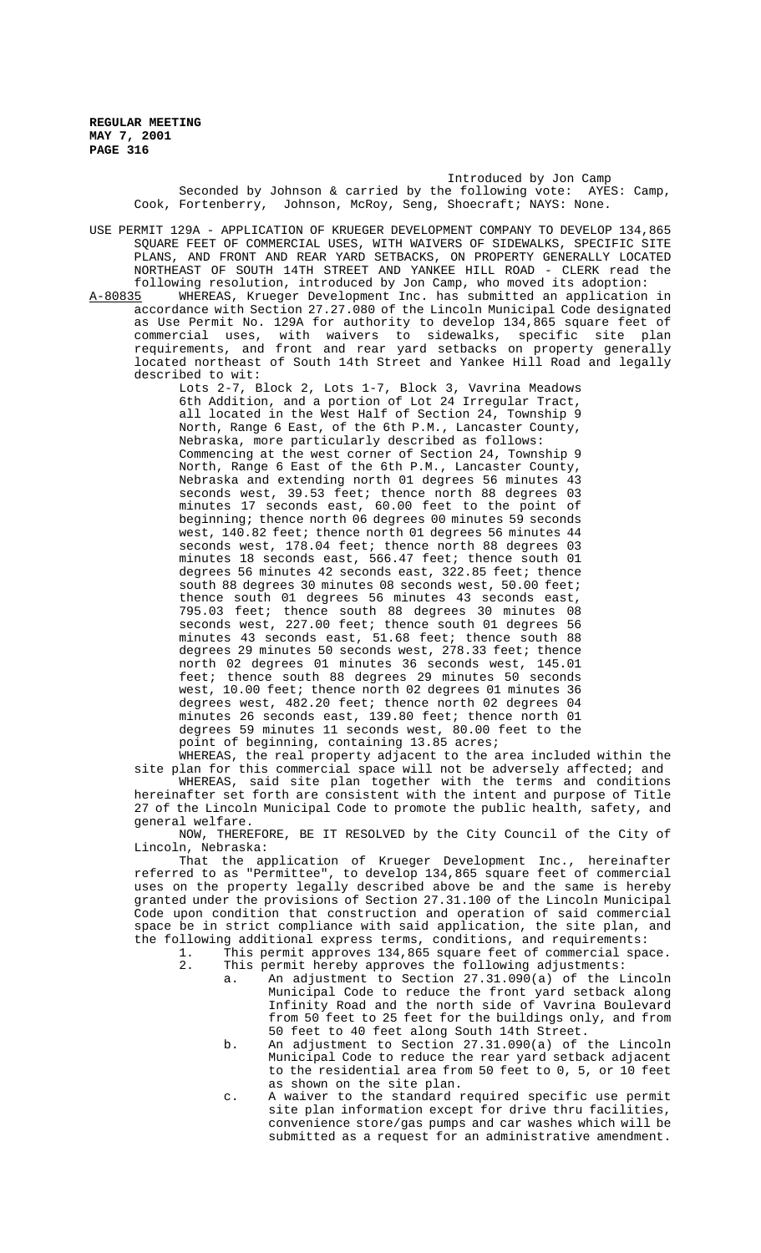Introduced by Jon Camp Seconded by Johnson & carried by the following vote: AYES: Camp, Cook, Fortenberry, Johnson, McRoy, Seng, Shoecraft; NAYS: None.

USE PERMIT 129A - APPLICATION OF KRUEGER DEVELOPMENT COMPANY TO DEVELOP 134,865 SQUARE FEET OF COMMERCIAL USES, WITH WAIVERS OF SIDEWALKS, SPECIFIC SITE PLANS, AND FRONT AND REAR YARD SETBACKS, ON PROPERTY GENERALLY LOCATED NORTHEAST OF SOUTH 14TH STREET AND YANKEE HILL ROAD - CLERK read the following resolution, introduced by Jon Camp, who moved its adoption:<br>A-80835 WHEREAS, Krueger Development Inc. has submitted an application

WHEREAS, Krueger Development Inc. has submitted an application in accordance with Section 27.27.080 of the Lincoln Municipal Code designated as Use Permit No. 129A for authority to develop 134,865 square feet of commercial uses, with waivers to sidewalks, specific site plan requirements, and front and rear yard setbacks on property generally located northeast of South 14th Street and Yankee Hill Road and legally described to wit:

Lots 2-7, Block 2, Lots 1-7, Block 3, Vavrina Meadows 6th Addition, and a portion of Lot 24 Irregular Tract, all located in the West Half of Section 24, Township 9 North, Range 6 East, of the 6th P.M., Lancaster County, Nebraska, more particularly described as follows: Commencing at the west corner of Section 24, Township 9 North, Range 6 East of the 6th P.M., Lancaster County, Nebraska and extending north 01 degrees 56 minutes 43 seconds west, 39.53 feet; thence north 88 degrees 03 minutes 17 seconds east, 60.00 feet to the point of beginning; thence north 06 degrees 00 minutes 59 seconds west, 140.82 feet; thence north 01 degrees 56 minutes 44 seconds west, 178.04 feet; thence north 88 degrees 03 minutes 18 seconds east, 566.47 feet; thence south 01 degrees 56 minutes 42 seconds east, 322.85 feet; thence south 88 degrees 30 minutes 08 seconds west, 50.00 feet; thence south 01 degrees 56 minutes 43 seconds east, 795.03 feet; thence south 88 degrees 30 minutes 08 seconds west, 227.00 feet; thence south 01 degrees 56 minutes 43 seconds east, 51.68 feet; thence south 88 degrees 29 minutes 50 seconds west, 278.33 feet; thence north 02 degrees 01 minutes 36 seconds west, 145.01 feet; thence south 88 degrees 29 minutes 50 seconds west, 10.00 feet; thence north 02 degrees 01 minutes 36 degrees west, 482.20 feet; thence north 02 degrees 04 minutes 26 seconds east, 139.80 feet; thence north 01 degrees 59 minutes 11 seconds west, 80.00 feet to the point of beginning, containing 13.85 acres;

WHEREAS, the real property adjacent to the area included within the site plan for this commercial space will not be adversely affected; and WHEREAS, said site plan together with the terms and conditions hereinafter set forth are consistent with the intent and purpose of Title 27 of the Lincoln Municipal Code to promote the public health, safety, and general welfare.

NOW, THEREFORE, BE IT RESOLVED by the City Council of the City of Lincoln, Nebraska:

That the application of Krueger Development Inc., hereinafter referred to as "Permittee", to develop 134,865 square feet of commercial uses on the property legally described above be and the same is hereby granted under the provisions of Section 27.31.100 of the Lincoln Municipal Code upon condition that construction and operation of said commercial space be in strict compliance with said application, the site plan, and the following additional express terms, conditions, and requirements:<br>1. This permit approves 134,865 square feet of commercial spa

- 1. This permit approves 134,865 square feet of commercial space.<br>2. This permit hereby approves the following adjustments:
	- This permit hereby approves the following adjustments: a. An adjustment to Section 27.31.090(a) of the Lincoln Municipal Code to reduce the front yard setback along Infinity Road and the north side of Vavrina Boulevard from 50 feet to 25 feet for the buildings only, and from 50 feet to 40 feet along South 14th Street.
	- b. An adjustment to Section 27.31.090(a) of the Lincoln Municipal Code to reduce the rear yard setback adjacent to the residential area from 50 feet to 0, 5, or 10 feet as shown on the site plan.
	- c. A waiver to the standard required specific use permit site plan information except for drive thru facilities, convenience store/gas pumps and car washes which will be submitted as a request for an administrative amendment.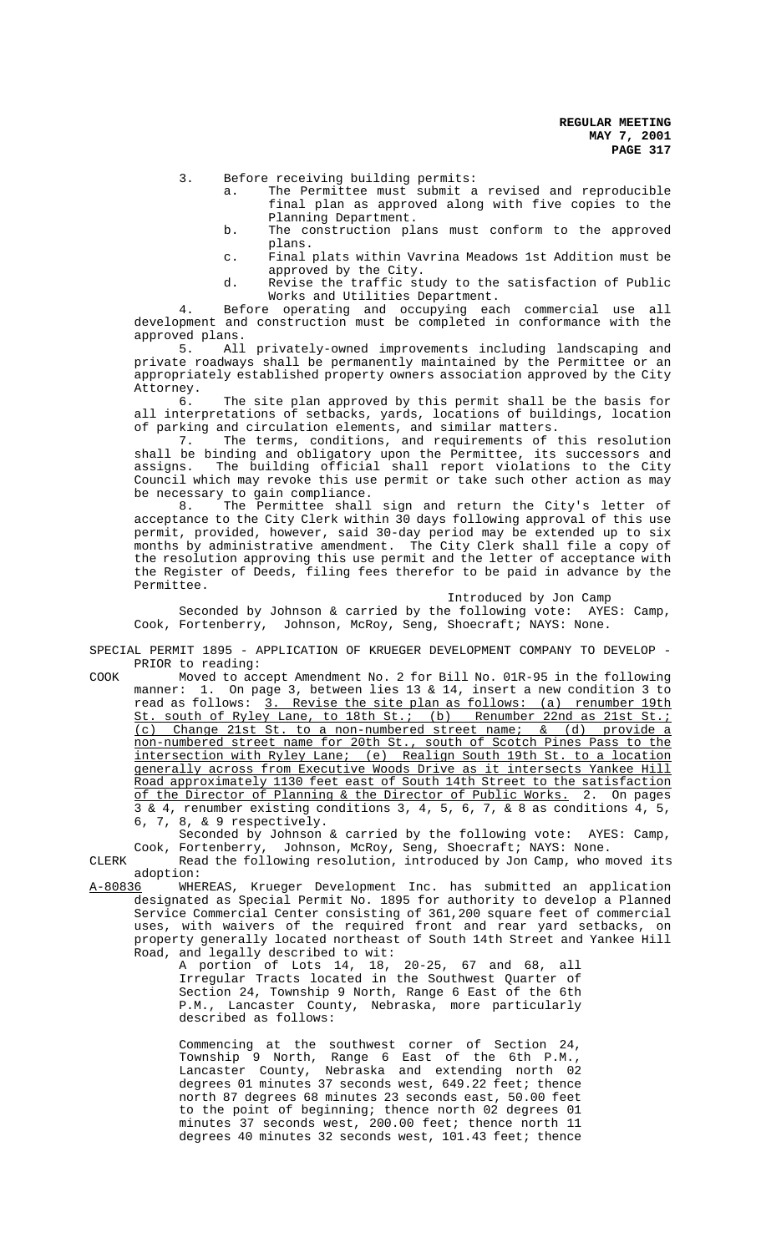- 3. Before receiving building permits:
	- a. The Permittee must submit a revised and reproducible final plan as approved along with five copies to the Planning Department.
	- b. The construction plans must conform to the approved plans.
	- c. Final plats within Vavrina Meadows 1st Addition must be approved by the City.
	- d. Revise the traffic study to the satisfaction of Public Works and Utilities Department.

4. Before operating and occupying each commercial use all development and construction must be completed in conformance with the approved plans.

5. All privately-owned improvements including landscaping and private roadways shall be permanently maintained by the Permittee or an appropriately established property owners association approved by the City Attorney.

6. The site plan approved by this permit shall be the basis for all interpretations of setbacks, yards, locations of buildings, location of parking and circulation elements, and similar matters.<br>7. The terms, conditions, and requirements of

The terms, conditions, and requirements of this resolution shall be binding and obligatory upon the Permittee, its successors and assigns. The building official shall report violations to the City Council which may revoke this use permit or take such other action as may be necessary to gain compliance.<br>8 The Permittee shall

The Permittee shall sign and return the City's letter of acceptance to the City Clerk within 30 days following approval of this use permit, provided, however, said 30-day period may be extended up to six months by administrative amendment. The City Clerk shall file a copy of the resolution approving this use permit and the letter of acceptance with the Register of Deeds, filing fees therefor to be paid in advance by the Permittee.

Introduced by Jon Camp

Seconded by Johnson & carried by the following vote: AYES: Camp, Cook, Fortenberry, Johnson, McRoy, Seng, Shoecraft; NAYS: None.

SPECIAL PERMIT 1895 - APPLICATION OF KRUEGER DEVELOPMENT COMPANY TO DEVELOP - PRIOR to reading:

COOK Moved to accept Amendment No. 2 for Bill No. 01R-95 in the following manner: 1. On page 3, between lies 13 & 14, insert a new condition 3 to read as follows: 3. Revise the site plan as follows: (a) renumber 19th St. south of Ryley Lane, to 18th St.; (b) Renumber 22nd as 21st St.; (c) Change 21st St. to a non-numbered street name; & (d) provide a non-numbered street name for 20th St., south of Scotch Pines Pass to the intersection with Ryley Lane; (e) Realign South 19th St. to a location generally across from Executive Woods Drive as it intersects Yankee Hill Road approximately 1130 feet east of South 14th Street to the satisfaction of the Director of Planning & the Director of Public Works. 2. On pages 3 & 4, renumber existing conditions 3, 4, 5, 6, 7, & 8 as conditions 4, 5, 6, 7, 8, & 9 respectively.

Seconded by Johnson & carried by the following vote: AYES: Camp, Cook, Fortenberry, Johnson, McRoy, Seng, Shoecraft; NAYS: None.

CLERK Read the following resolution, introduced by Jon Camp, who moved its adoption:

A-80836 WHEREAS, Krueger Development Inc. has submitted an application designated as Special Permit No. 1895 for authority to develop a Planned Service Commercial Center consisting of 361,200 square feet of commercial uses, with waivers of the required front and rear yard setbacks, on property generally located northeast of South 14th Street and Yankee Hill Road, and legally described to wit:

A portion of Lots 14, 18, 20-25, 67 and 68, all Irregular Tracts located in the Southwest Quarter of Section 24, Township 9 North, Range 6 East of the 6th<br>P.M., Lancaster County, Nebraska, more particularly Lancaster County, Nebraska, more particularly described as follows:

Commencing at the southwest corner of Section 24, Township 9 North, Range 6 East of the 6th P.M., Lancaster County, Nebraska and extending north 02 degrees 01 minutes 37 seconds west, 649.22 feet; thence north 87 degrees 68 minutes 23 seconds east, 50.00 feet to the point of beginning; thence north 02 degrees 01 minutes 37 seconds west, 200.00 feet; thence north 11 degrees 40 minutes 32 seconds west, 101.43 feet; thence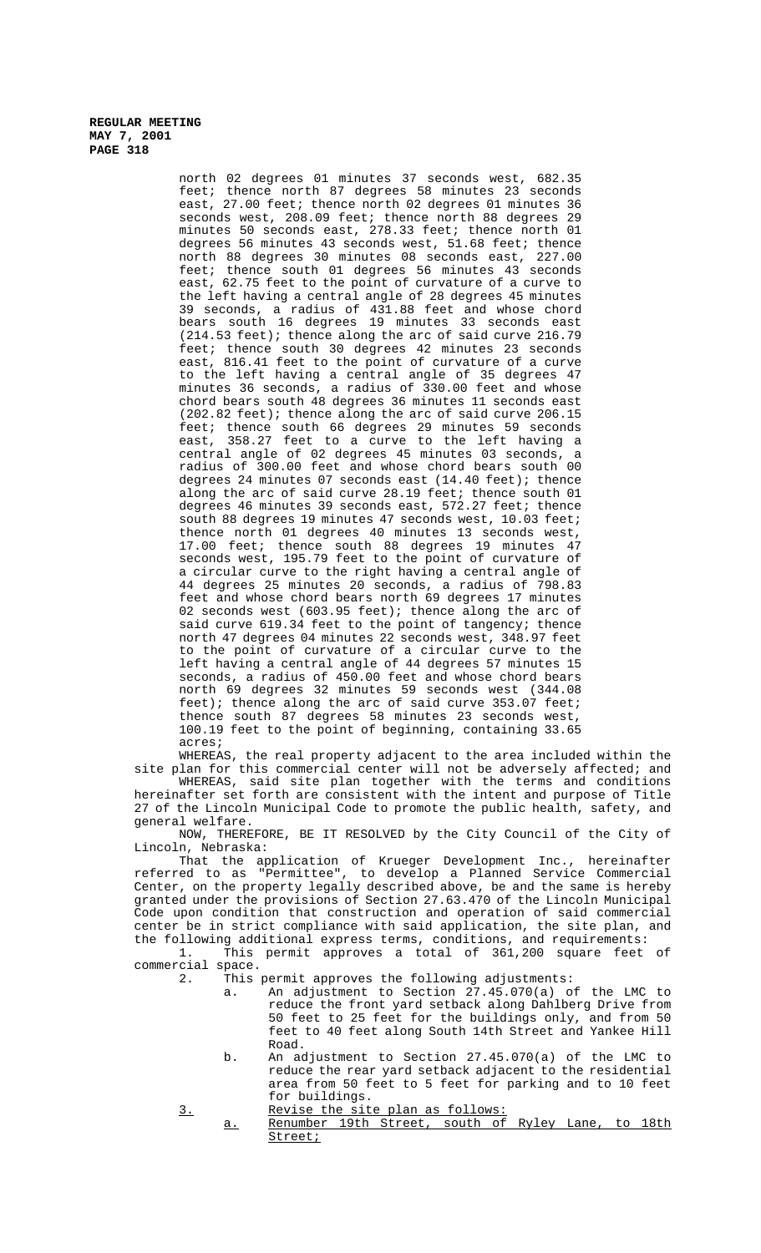north 02 degrees 01 minutes 37 seconds west, 682.35 feet; thence north 87 degrees 58 minutes 23 seconds east, 27.00 feet; thence north 02 degrees 01 minutes 36 seconds west, 208.09 feet; thence north 88 degrees 29 minutes 50 seconds east, 278.33 feet; thence north 01 degrees 56 minutes 43 seconds west, 51.68 feet; thence north 88 degrees 30 minutes 08 seconds east, 227.00 feet; thence south 01 degrees 56 minutes 43 seconds east, 62.75 feet to the point of curvature of a curve to the left having a central angle of 28 degrees 45 minutes 39 seconds, a radius of 431.88 feet and whose chord bears south 16 degrees 19 minutes 33 seconds east (214.53 feet); thence along the arc of said curve 216.79 feet; thence south 30 degrees 42 minutes 23 seconds east, 816.41 feet to the point of curvature of a curve to the left having a central angle of 35 degrees 47 minutes 36 seconds, a radius of 330.00 feet and whose chord bears south 48 degrees 36 minutes 11 seconds east (202.82 feet); thence along the arc of said curve 206.15 feet; thence south 66 degrees 29 minutes 59 seconds east, 358.27 feet to a curve to the left having a central angle of 02 degrees 45 minutes 03 seconds, a radius of 300.00 feet and whose chord bears south 00 degrees 24 minutes 07 seconds east (14.40 feet); thence along the arc of said curve 28.19 feet; thence south 01 degrees 46 minutes 39 seconds east, 572.27 feet; thence south 88 degrees 19 minutes 47 seconds west, 10.03 feet; thence north 01 degrees 40 minutes 13 seconds west, 17.00 feet; thence south 88 degrees 19 minutes 47 seconds west, 195.79 feet to the point of curvature of a circular curve to the right having a central angle of 44 degrees 25 minutes 20 seconds, a radius of 798.83 feet and whose chord bears north 69 degrees 17 minutes 02 seconds west (603.95 feet); thence along the arc of said curve 619.34 feet to the point of tangency; thence north 47 degrees 04 minutes 22 seconds west, 348.97 feet to the point of curvature of a circular curve to the left having a central angle of 44 degrees 57 minutes 15 seconds, a radius of 450.00 feet and whose chord bears north 69 degrees 32 minutes 59 seconds west (344.08 feet); thence along the arc of said curve 353.07 feet; thence south 87 degrees 58 minutes 23 seconds west, 100.19 feet to the point of beginning, containing 33.65 acres;

WHEREAS, the real property adjacent to the area included within the site plan for this commercial center will not be adversely affected; and WHEREAS, said site plan together with the terms and conditions hereinafter set forth are consistent with the intent and purpose of Title 27 of the Lincoln Municipal Code to promote the public health, safety, and general welfare.

NOW, THEREFORE, BE IT RESOLVED by the City Council of the City of Lincoln, Nebraska:

That the application of Krueger Development Inc., hereinafter referred to as "Permittee", to develop a Planned Service Commercial Center, on the property legally described above, be and the same is hereby granted under the provisions of Section 27.63.470 of the Lincoln Municipal Code upon condition that construction and operation of said commercial center be in strict compliance with said application, the site plan, and the following additional express terms, conditions, and requirements:<br>1. This permit approves a total of 361,200 square feet

This permit approves a total of 361,200 square feet of commercial space.<br>2. This

- 2. This permit approves the following adjustments:
	- a. An adjustment to Section 27.45.070(a) of the LMC to reduce the front yard setback along Dahlberg Drive from 50 feet to 25 feet for the buildings only, and from 50 feet to 40 feet along South 14th Street and Yankee Hill Road.
	- b. An adjustment to Section 27.45.070(a) of the LMC to reduce the rear yard setback adjacent to the residential area from 50 feet to 5 feet for parking and to 10 feet for buildings.
- 3. Revise the site plan as follows:
	- a. Renumber 19th Street, south of Ryley Lane, to 18th Street;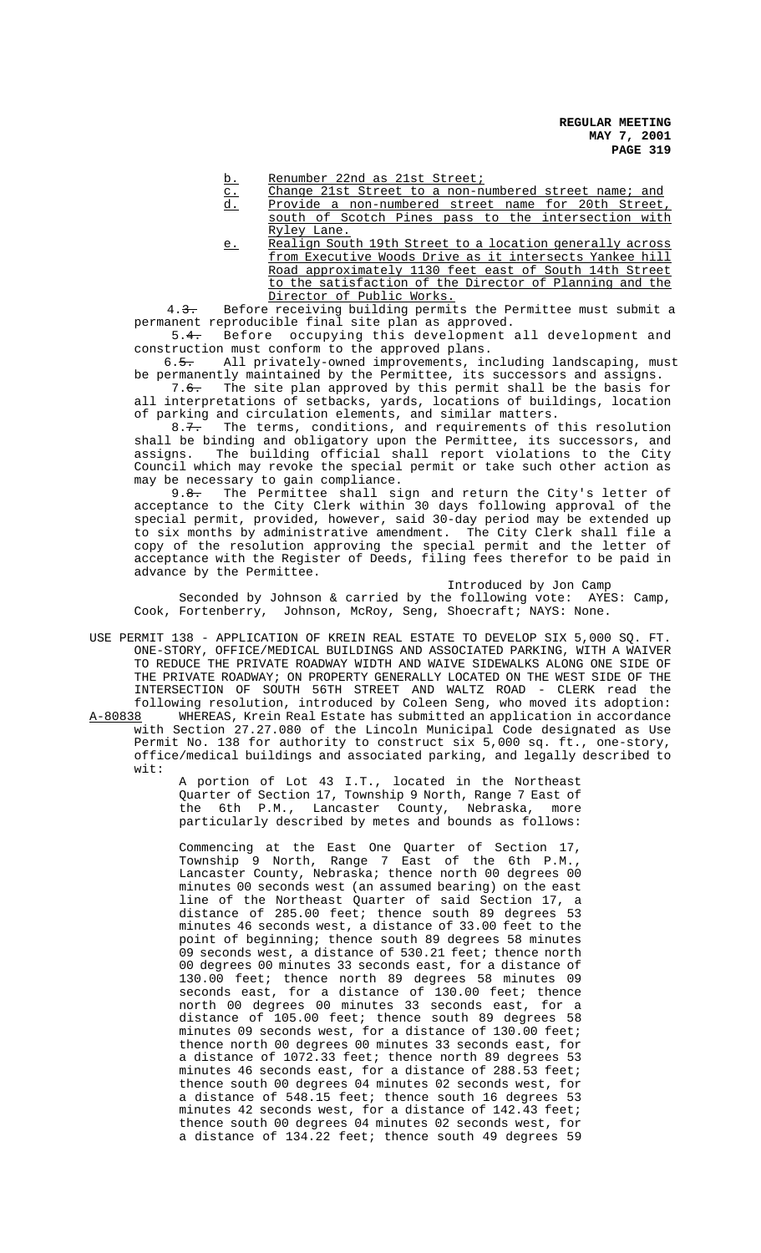- b. Renumber 22nd as 21st Street;
- c. Change 21st Street to a non-numbered street name; and
- d. Provide a non-numbered street name for 20th Street, south of Scotch Pines pass to the intersection with Ryley Lane.
- e. Realign South 19th Street to a location generally across from Executive Woods Drive as it intersects Yankee hill Road approximately 1130 feet east of South 14th Street to the satisfaction of the Director of Planning and the Director of Public Works.

4.3. Before receiving building permits the Permittee must submit a permanent reproducible final site plan as approved.

 5.4. Before occupying this development all development and construction must conform to the approved plans.

6.5. All privately-owned improvements, including landscaping, must be permanently maintained by the Permittee, its successors and assigns.

 7.6. The site plan approved by this permit shall be the basis for all interpretations of setbacks, yards, locations of buildings, location of parking and circulation elements, and similar matters.

8.7. The terms, conditions, and requirements of this resolution shall be binding and obligatory upon the Permittee, its successors, and assigns. The building official shall report violations to the City Council which may revoke the special permit or take such other action as may be necessary to gain compliance.

9.<del>8.</del> The Permittee shall sign and return the City's letter of acceptance to the City Clerk within 30 days following approval of the special permit, provided, however, said 30-day period may be extended up to six months by administrative amendment. The City Clerk shall file a copy of the resolution approving the special permit and the letter of acceptance with the Register of Deeds, filing fees therefor to be paid in advance by the Permittee.

Introduced by Jon Camp

Seconded by Johnson & carried by the following vote: AYES: Camp, Cook, Fortenberry, Johnson, McRoy, Seng, Shoecraft; NAYS: None.

USE PERMIT 138 - APPLICATION OF KREIN REAL ESTATE TO DEVELOP SIX 5,000 SQ. FT. ONE-STORY, OFFICE/MEDICAL BUILDINGS AND ASSOCIATED PARKING, WITH A WAIVER TO REDUCE THE PRIVATE ROADWAY WIDTH AND WAIVE SIDEWALKS ALONG ONE SIDE OF THE PRIVATE ROADWAY; ON PROPERTY GENERALLY LOCATED ON THE WEST SIDE OF THE INTERSECTION OF SOUTH 56TH STREET AND WALTZ ROAD - CLERK read the following resolution, introduced by Coleen Seng, who moved its adoption: A-80838 WHEREAS, Krein Real Estate has submitted an application in accordance with Section 27.27.080 of the Lincoln Municipal Code designated as Use Permit No. 138 for authority to construct six 5,000 sq. ft., one-story, office/medical buildings and associated parking, and legally described to

wit:

A portion of Lot 43 I.T., located in the Northeast Quarter of Section 17, Township 9 North, Range 7 East of the 6th P.M., Lancaster County, Nebraska, more particularly described by metes and bounds as follows:

Commencing at the East One Quarter of Section 17, Township 9 North, Range 7 East of the 6th P.M., Lancaster County, Nebraska; thence north 00 degrees 00 minutes 00 seconds west (an assumed bearing) on the east line of the Northeast Quarter of said Section 17, a distance of 285.00 feet; thence south 89 degrees 53 minutes 46 seconds west, a distance of 33.00 feet to the point of beginning; thence south 89 degrees 58 minutes 09 seconds west, a distance of 530.21 feet; thence north 00 degrees 00 minutes 33 seconds east, for a distance of 130.00 feet; thence north 89 degrees 58 minutes 09 seconds east, for a distance of 130.00 feet; thence north 00 degrees 00 minutes 33 seconds east, for a distance of 105.00 feet; thence south 89 degrees 58 minutes 09 seconds west, for a distance of 130.00 feet; thence north 00 degrees 00 minutes 33 seconds east, for a distance of 1072.33 feet; thence north 89 degrees 53 minutes 46 seconds east, for a distance of 288.53 feet; thence south 00 degrees 04 minutes 02 seconds west, for a distance of 548.15 feet; thence south 16 degrees 53 minutes 42 seconds west, for a distance of 142.43 feet; thence south 00 degrees 04 minutes 02 seconds west, for a distance of 134.22 feet; thence south 49 degrees 59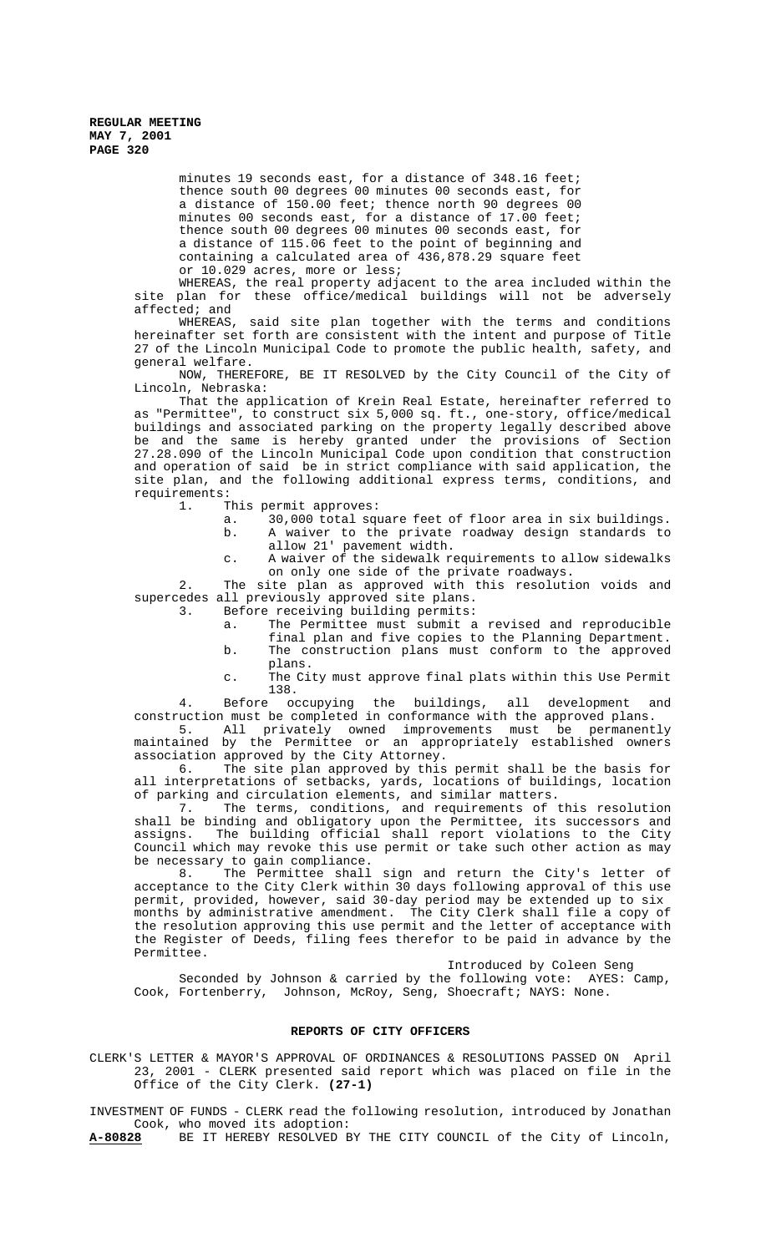minutes 19 seconds east, for a distance of 348.16 feet; thence south 00 degrees 00 minutes 00 seconds east, for a distance of 150.00 feet; thence north 90 degrees 00 minutes 00 seconds east, for a distance of 17.00 feet; thence south 00 degrees 00 minutes 00 seconds east, for a distance of 115.06 feet to the point of beginning and containing a calculated area of 436,878.29 square feet or 10.029 acres, more or less;

WHEREAS, the real property adjacent to the area included within the site plan for these office/medical buildings will not be adversely affected; and

WHEREAS, said site plan together with the terms and conditions hereinafter set forth are consistent with the intent and purpose of Title 27 of the Lincoln Municipal Code to promote the public health, safety, and general welfare.

NOW, THEREFORE, BE IT RESOLVED by the City Council of the City of Lincoln, Nebraska:

That the application of Krein Real Estate, hereinafter referred to as "Permittee", to construct six 5,000 sq. ft., one-story, office/medical buildings and associated parking on the property legally described above be and the same is hereby granted under the provisions of Section 27.28.090 of the Lincoln Municipal Code upon condition that construction and operation of said be in strict compliance with said application, the site plan, and the following additional express terms, conditions, and requirements:

1. This permit approves:

- a. 30,000 total square feet of floor area in six buildings.
- b. A waiver to the private roadway design standards to allow 21' pavement width.
- c. A waiver of the sidewalk requirements to allow sidewalks on only one side of the private roadways.

2. The site plan as approved with this resolution voids and supercedes all previously approved site plans.

3. Before receiving building permits:

- a. The Permittee must submit a revised and reproducible final plan and five copies to the Planning Department.
- b. The construction plans must conform to the approved plans.
- c. The City must approve final plats within this Use Permit 138.

4. Before occupying the buildings, all development and construction must be completed in conformance with the approved plans.

5. All privately owned improvements must be permanently maintained by the Permittee or an appropriately established owners association approved by the City Attorney.<br>6. The site plan approved by this

The site plan approved by this permit shall be the basis for all interpretations of setbacks, yards, locations of buildings, location of parking and circulation elements, and similar matters.

7. The terms, conditions, and requirements of this resolution shall be binding and obligatory upon the Permittee, its successors and assigns. The building official shall report violations to the City Council which may revoke this use permit or take such other action as may be necessary to gain compliance.

8. The Permittee shall sign and return the City's letter of acceptance to the City Clerk within 30 days following approval of this use permit, provided, however, said 30-day period may be extended up to six months by administrative amendment. The City Clerk shall file a copy of the resolution approving this use permit and the letter of acceptance with the Register of Deeds, filing fees therefor to be paid in advance by the Permittee.

Introduced by Coleen Seng

Seconded by Johnson & carried by the following vote: AYES: Camp, Cook, Fortenberry, Johnson, McRoy, Seng, Shoecraft; NAYS: None.

# **REPORTS OF CITY OFFICERS**

CLERK'S LETTER & MAYOR'S APPROVAL OF ORDINANCES & RESOLUTIONS PASSED ON April 23, 2001 - CLERK presented said report which was placed on file in the Office of the City Clerk. **(27-1)**

INVESTMENT OF FUNDS - CLERK read the following resolution, introduced by Jonathan Cook, who moved its adoption:

**A-80828** BE IT HEREBY RESOLVED BY THE CITY COUNCIL of the City of Lincoln,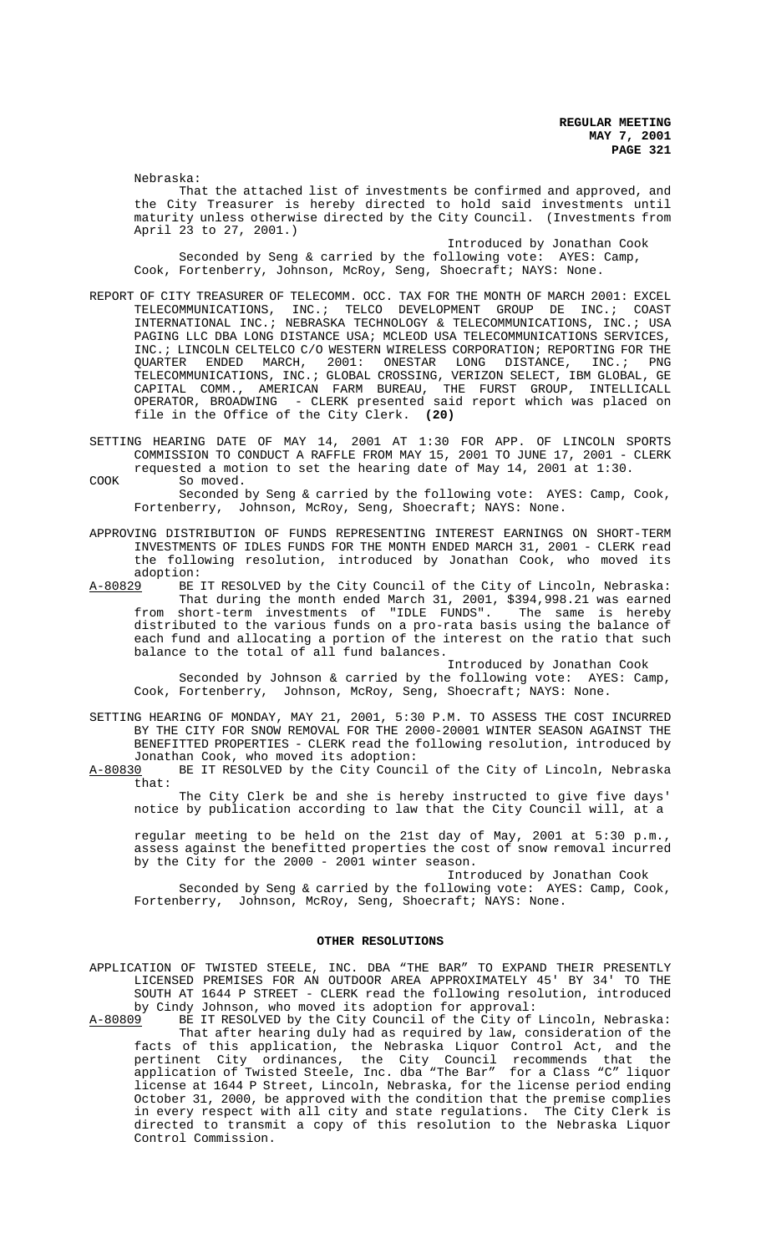Nebraska:

That the attached list of investments be confirmed and approved, and the City Treasurer is hereby directed to hold said investments until maturity unless otherwise directed by the City Council. (Investments from April 23 to 27, 2001.)

Introduced by Jonathan Cook Seconded by Seng & carried by the following vote: AYES: Camp, Cook, Fortenberry, Johnson, McRoy, Seng, Shoecraft; NAYS: None.

- REPORT OF CITY TREASURER OF TELECOMM. OCC. TAX FOR THE MONTH OF MARCH 2001: EXCEL TELECOMMUNICATIONS, INC.; TELCO DEVELOPMENT GROUP DE INC.; COAST INTERNATIONAL INC.; NEBRASKA TECHNOLOGY & TELECOMMUNICATIONS, INC.; USA PAGING LLC DBA LONG DISTANCE USA; MCLEOD USA TELECOMMUNICATIONS SERVICES, INC.; LINCOLN CELTELCO C/O WESTERN WIRELESS CORPORATION; REPORTING FOR THE QUARTER ENDED MARCH, 2001: ONESTAR LONG DISTANCE, INC.; PNG TELECOMMUNICATIONS, INC.; GLOBAL CROSSING, VERIZON SELECT, IBM GLOBAL, GE CAPITAL COMM., AMERICAN FARM BUREAU, THE FURST GROUP, INTELLICALL OPERATOR, BROADWING - CLERK presented said report which was placed on file in the Office of the City Clerk. **(20)**
- SETTING HEARING DATE OF MAY 14, 2001 AT 1:30 FOR APP. OF LINCOLN SPORTS COMMISSION TO CONDUCT A RAFFLE FROM MAY 15, 2001 TO JUNE 17, 2001 - CLERK requested a motion to set the hearing date of May 14, 2001 at 1:30.
- COOK So moved. Seconded by Seng & carried by the following vote: AYES: Camp, Cook, Fortenberry, Johnson, McRoy, Seng, Shoecraft; NAYS: None.
- APPROVING DISTRIBUTION OF FUNDS REPRESENTING INTEREST EARNINGS ON SHORT-TERM INVESTMENTS OF IDLES FUNDS FOR THE MONTH ENDED MARCH 31, 2001 - CLERK read the following resolution, introduced by Jonathan Cook, who moved its
- adoption:<br><u>A-80829</u> BE A-80829 BE IT RESOLVED by the City Council of the City of Lincoln, Nebraska: That during the month ended March 31, 2001, \$394,998.21 was earned from short-term investments of "IDLE FUNDS". The same is hereby distributed to the various funds on a pro-rata basis using the balance of each fund and allocating a portion of the interest on the ratio that such balance to the total of all fund balances.

Introduced by Jonathan Cook Seconded by Johnson & carried by the following vote: AYES: Camp, Cook, Fortenberry, Johnson, McRoy, Seng, Shoecraft; NAYS: None.

- SETTING HEARING OF MONDAY, MAY 21, 2001, 5:30 P.M. TO ASSESS THE COST INCURRED BY THE CITY FOR SNOW REMOVAL FOR THE 2000-20001 WINTER SEASON AGAINST THE BENEFITTED PROPERTIES - CLERK read the following resolution, introduced by
- Jonathan Cook, who moved its adoption:<br>A-80830 BE IT RESOLVED by the City Counci BE IT RESOLVED by the City Council of the City of Lincoln, Nebraska that:

The City Clerk be and she is hereby instructed to give five days' notice by publication according to law that the City Council will, at a

regular meeting to be held on the 21st day of May, 2001 at 5:30 p.m., assess against the benefitted properties the cost of snow removal incurred by the City for the 2000 - 2001 winter season.

Introduced by Jonathan Cook Seconded by Seng & carried by the following vote: AYES: Camp, Cook, Fortenberry, Johnson, McRoy, Seng, Shoecraft; NAYS: None.

#### **OTHER RESOLUTIONS**

APPLICATION OF TWISTED STEELE, INC. DBA "THE BAR" TO EXPAND THEIR PRESENTLY LICENSED PREMISES FOR AN OUTDOOR AREA APPROXIMATELY 45' BY 34' TO THE SOUTH AT 1644 P STREET - CLERK read the following resolution, introduced by Cindy Johnson, who moved its adoption for approval:<br>A-80809 BE IT RESOLVED by the City Council of the City of

BE IT RESOLVED by the City Council of the City of Lincoln, Nebraska: That after hearing duly had as required by law, consideration of the facts of this application, the Nebraska Liquor Control Act, and the pertinent City ordinances, the City Council recommends that the application of Twisted Steele, Inc. dba "The Bar" for a Class "C" liquor license at 1644 P Street, Lincoln, Nebraska, for the license period ending October 31, 2000, be approved with the condition that the premise complies in every respect with all city and state regulations. The City Clerk is directed to transmit a copy of this resolution to the Nebraska Liquor Control Commission.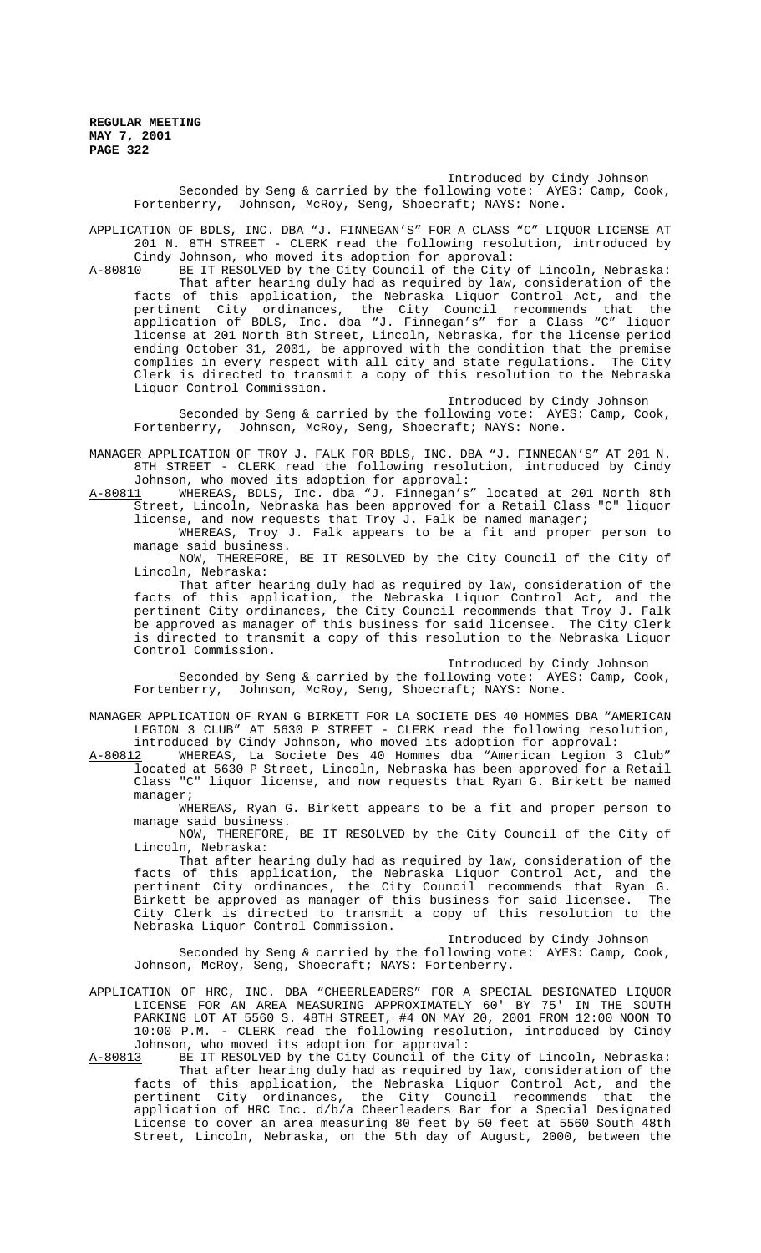> Introduced by Cindy Johnson Seconded by Seng & carried by the following vote: AYES: Camp, Cook, Fortenberry, Johnson, McRoy, Seng, Shoecraft; NAYS: None.

APPLICATION OF BDLS, INC. DBA "J. FINNEGAN'S" FOR A CLASS "C" LIQUOR LICENSE AT 201 N. 8TH STREET - CLERK read the following resolution, introduced by Cindy Johnson, who moved its adoption for approval:

A-80810 BE IT RESOLVED by the City Council of the City of Lincoln, Nebraska: That after hearing duly had as required by law, consideration of the facts of this application, the Nebraska Liquor Control Act, and the pertinent City ordinances, the City Council recommends that the application of BDLS, Inc. dba "J. Finnegan's" for a Class "C" liquor license at 201 North 8th Street, Lincoln, Nebraska, for the license period ending October 31, 2001, be approved with the condition that the premise complies in every respect with all city and state regulations. The City Clerk is directed to transmit a copy of this resolution to the Nebraska Liquor Control Commission.

Introduced by Cindy Johnson Seconded by Seng & carried by the following vote: AYES: Camp, Cook, Fortenberry, Johnson, McRoy, Seng, Shoecraft; NAYS: None.

- MANAGER APPLICATION OF TROY J. FALK FOR BDLS, INC. DBA "J. FINNEGAN'S" AT 201 N. 8TH STREET - CLERK read the following resolution, introduced by Cindy Johnson, who moved its adoption for approval:<br>A-80811 WHEREAS, BDLS, Inc. dba "J. Finnegan's'
- WHEREAS, BDLS, Inc. dba "J. Finnegan's" located at 201 North 8th Street, Lincoln, Nebraska has been approved for a Retail Class "C" liquor license, and now requests that Troy J. Falk be named manager;

WHEREAS, Troy J. Falk appears to be a fit and proper person to manage said business.

NOW, THEREFORE, BE IT RESOLVED by the City Council of the City of Lincoln, Nebraska:

That after hearing duly had as required by law, consideration of the facts of this application, the Nebraska Liquor Control Act, and the pertinent City ordinances, the City Council recommends that Troy J. Falk be approved as manager of this business for said licensee. The City Clerk is directed to transmit a copy of this resolution to the Nebraska Liquor Control Commission.

Introduced by Cindy Johnson

Seconded by Seng & carried by the following vote: AYES: Camp, Cook, Fortenberry, Johnson, McRoy, Seng, Shoecraft; NAYS: None.

MANAGER APPLICATION OF RYAN G BIRKETT FOR LA SOCIETE DES 40 HOMMES DBA "AMERICAN LEGION 3 CLUB" AT 5630 P STREET - CLERK read the following resolution,

introduced by Cindy Johnson, who moved its adoption for approval:<br>A-80812 WHEREAS, La Societe Des 40 Hommes dba "American Legion 3 WHEREAS, La Societe Des 40 Hommes dba "American Legion 3 Club" located at 5630 P Street, Lincoln, Nebraska has been approved for a Retail Class "C" liquor license, and now requests that Ryan G. Birkett be named manager;

WHEREAS, Ryan G. Birkett appears to be a fit and proper person to manage said business.

NOW, THEREFORE, BE IT RESOLVED by the City Council of the City of Lincoln, Nebraska:

That after hearing duly had as required by law, consideration of the facts of this application, the Nebraska Liquor Control Act, and the pertinent City ordinances, the City Council recommends that Ryan G. Birkett be approved as manager of this business for said licensee. The City Clerk is directed to transmit a copy of this resolution to the Nebraska Liquor Control Commission.

Introduced by Cindy Johnson

Seconded by Seng & carried by the following vote: AYES: Camp, Cook, Johnson, McRoy, Seng, Shoecraft; NAYS: Fortenberry.

APPLICATION OF HRC, INC. DBA "CHEERLEADERS" FOR A SPECIAL DESIGNATED LIQUOR LICENSE FOR AN AREA MEASURING APPROXIMATELY 60' BY 75' IN THE SOUTH PARKING LOT AT 5560 S. 48TH STREET, #4 ON MAY 20, 2001 FROM 12:00 NOON TO 10:00 P.M. - CLERK read the following resolution, introduced by Cindy Johnson, who moved its adoption for approval:

A-80813 BE IT RESOLVED by the City Council of the City of Lincoln, Nebraska: That after hearing duly had as required by law, consideration of the facts of this application, the Nebraska Liquor Control Act, and the pertinent City ordinances, the City Council recommends that the application of HRC Inc. d/b/a Cheerleaders Bar for a Special Designated License to cover an area measuring 80 feet by 50 feet at 5560 South 48th Street, Lincoln, Nebraska, on the 5th day of August, 2000, between the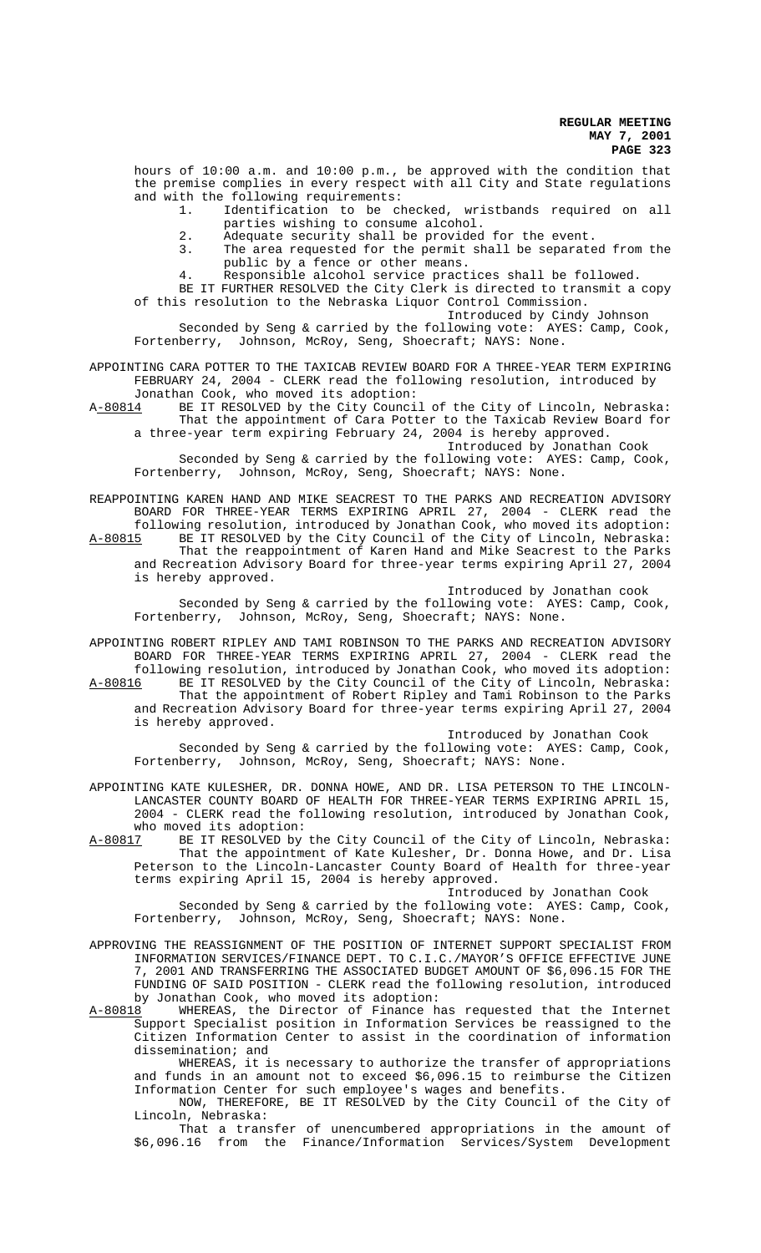hours of 10:00 a.m. and 10:00 p.m., be approved with the condition that the premise complies in every respect with all City and State regulations and with the following requirements:

- 1. Identification to be checked, wristbands required on all parties wishing to consume alcohol.
	-
- 2. Adequate security shall be provided for the event.<br>3. The area requested for the permit shall be separate The area requested for the permit shall be separated from the
- public by a fence or other means.
- Responsible alcohol service practices shall be followed.

BE IT FURTHER RESOLVED the City Clerk is directed to transmit a copy of this resolution to the Nebraska Liquor Control Commission.

Introduced by Cindy Johnson

Seconded by Seng & carried by the following vote: AYES: Camp, Cook, Fortenberry, Johnson, McRoy, Seng, Shoecraft; NAYS: None.

APPOINTING CARA POTTER TO THE TAXICAB REVIEW BOARD FOR A THREE-YEAR TERM EXPIRING FEBRUARY 24, 2004 - CLERK read the following resolution, introduced by Jonathan Cook, who moved its adoption:

A-80814 BE IT RESOLVED by the City Council of the City of Lincoln, Nebraska: That the appointment of Cara Potter to the Taxicab Review Board for a three-year term expiring February 24, 2004 is hereby approved.

# Introduced by Jonathan Cook

Seconded by Seng & carried by the following vote: AYES: Camp, Cook, Fortenberry, Johnson, McRoy, Seng, Shoecraft; NAYS: None.

REAPPOINTING KAREN HAND AND MIKE SEACREST TO THE PARKS AND RECREATION ADVISORY BOARD FOR THREE-YEAR TERMS EXPIRING APRIL 27, 2004 - CLERK read the

following resolution, introduced by Jonathan Cook, who moved its adoption: A-80815 BE IT RESOLVED by the City Council of the City of Lincoln, Nebraska: That the reappointment of Karen Hand and Mike Seacrest to the Parks and Recreation Advisory Board for three-year terms expiring April 27, 2004 is hereby approved.

Introduced by Jonathan cook Seconded by Seng & carried by the following vote: AYES: Camp, Cook, Fortenberry, Johnson, McRoy, Seng, Shoecraft; NAYS: None.

APPOINTING ROBERT RIPLEY AND TAMI ROBINSON TO THE PARKS AND RECREATION ADVISORY BOARD FOR THREE-YEAR TERMS EXPIRING APRIL 27, 2004 - CLERK read the

following resolution, introduced by Jonathan Cook, who moved its adoption:<br>A-80816 BE IT RESOLVED by the City Council of the City of Lincoln, Nebraska: BE IT RESOLVED by the City Council of the City of Lincoln, Nebraska: That the appointment of Robert Ripley and Tami Robinson to the Parks and Recreation Advisory Board for three-year terms expiring April 27, 2004 is hereby approved.

Introduced by Jonathan Cook Seconded by Seng & carried by the following vote: AYES: Camp, Cook, Fortenberry, Johnson, McRoy, Seng, Shoecraft; NAYS: None.

APPOINTING KATE KULESHER, DR. DONNA HOWE, AND DR. LISA PETERSON TO THE LINCOLN-LANCASTER COUNTY BOARD OF HEALTH FOR THREE-YEAR TERMS EXPIRING APRIL 15, 2004 - CLERK read the following resolution, introduced by Jonathan Cook, who moved its adoption:

A-80817 BE IT RESOLVED by the City Council of the City of Lincoln, Nebraska: That the appointment of Kate Kulesher, Dr. Donna Howe, and Dr. Lisa Peterson to the Lincoln-Lancaster County Board of Health for three-year terms expiring April 15, 2004 is hereby approved.

# Introduced by Jonathan Cook

Seconded by Seng & carried by the following vote: AYES: Camp, Cook, Fortenberry, Johnson, McRoy, Seng, Shoecraft; NAYS: None.

APPROVING THE REASSIGNMENT OF THE POSITION OF INTERNET SUPPORT SPECIALIST FROM INFORMATION SERVICES/FINANCE DEPT. TO C.I.C./MAYOR'S OFFICE EFFECTIVE JUNE 7, 2001 AND TRANSFERRING THE ASSOCIATED BUDGET AMOUNT OF \$6,096.15 FOR THE FUNDING OF SAID POSITION - CLERK read the following resolution, introduced by Jonathan Cook, who moved its adoption:<br>A-80818 WHEREAS, the Director of Finance h

A-80818 MHEREAS, the Director of Finance has requested that the Internet Support Specialist position in Information Services be reassigned to the Citizen Information Center to assist in the coordination of information dissemination; and

WHEREAS, it is necessary to authorize the transfer of appropriations and funds in an amount not to exceed \$6,096.15 to reimburse the Citizen Information Center for such employee's wages and benefits.

NOW, THEREFORE, BE IT RESOLVED by the City Council of the City of Lincoln, Nebraska:

That a transfer of unencumbered appropriations in the amount of \$6,096.16 from the Finance/Information Services/System Development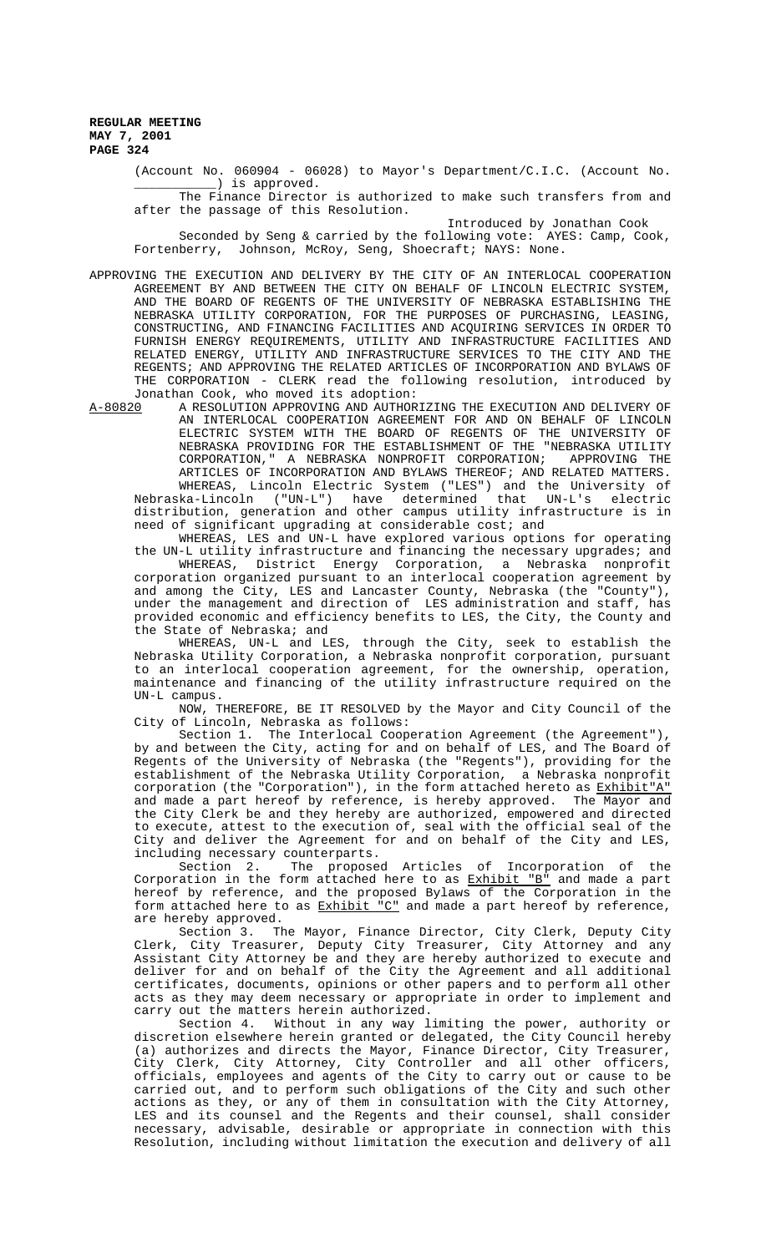> (Account No. 060904 - 06028) to Mayor's Department/C.I.C. (Account No. ) is approved.

> The Finance Director is authorized to make such transfers from and after the passage of this Resolution.

> Introduced by Jonathan Cook Seconded by Seng & carried by the following vote: AYES: Camp, Cook, Fortenberry, Johnson, McRoy, Seng, Shoecraft; NAYS: None.

APPROVING THE EXECUTION AND DELIVERY BY THE CITY OF AN INTERLOCAL COOPERATION AGREEMENT BY AND BETWEEN THE CITY ON BEHALF OF LINCOLN ELECTRIC SYSTEM, AND THE BOARD OF REGENTS OF THE UNIVERSITY OF NEBRASKA ESTABLISHING THE NEBRASKA UTILITY CORPORATION, FOR THE PURPOSES OF PURCHASING, LEASING, CONSTRUCTING, AND FINANCING FACILITIES AND ACQUIRING SERVICES IN ORDER TO FURNISH ENERGY REQUIREMENTS, UTILITY AND INFRASTRUCTURE FACILITIES AND RELATED ENERGY, UTILITY AND INFRASTRUCTURE SERVICES TO THE CITY AND THE REGENTS; AND APPROVING THE RELATED ARTICLES OF INCORPORATION AND BYLAWS OF THE CORPORATION - CLERK read the following resolution, introduced by Jonathan Cook, who moved its adoption:

A-80820 A RESOLUTION APPROVING AND AUTHORIZING THE EXECUTION AND DELIVERY OF AN INTERLOCAL COOPERATION AGREEMENT FOR AND ON BEHALF OF LINCOLN ELECTRIC SYSTEM WITH THE BOARD OF REGENTS OF THE UNIVERSITY OF NEBRASKA PROVIDING FOR THE ESTABLISHMENT OF THE "NEBRASKA UTILITY CORPORATION," A NEBRASKA NONPROFIT CORPORATION; APPROVING THE ARTICLES OF INCORPORATION AND BYLAWS THEREOF; AND RELATED MATTERS. WHEREAS, Lincoln Electric System ("LES") and the University of Nebraska-Lincoln ("UN-L") have determined that UN-L's electric distribution, generation and other campus utility infrastructure is in need of significant upgrading at considerable cost; and

WHEREAS, LES and UN-L have explored various options for operating the UN-L utility infrastructure and financing the necessary upgrades; and WHEREAS, District Energy Corporation, a Nebraska nonprofit corporation organized pursuant to an interlocal cooperation agreement by and among the City, LES and Lancaster County, Nebraska (the "County"), under the management and direction of LES administration and staff, has provided economic and efficiency benefits to LES, the City, the County and the State of Nebraska; and

WHEREAS, UN-L and LES, through the City, seek to establish the Nebraska Utility Corporation, a Nebraska nonprofit corporation, pursuant to an interlocal cooperation agreement, for the ownership, operation, maintenance and financing of the utility infrastructure required on the UN-L campus.

NOW, THEREFORE, BE IT RESOLVED by the Mayor and City Council of the City of Lincoln, Nebraska as follows:

Section 1. The Interlocal Cooperation Agreement (the Agreement"), by and between the City, acting for and on behalf of LES, and The Board of Regents of the University of Nebraska (the "Regents"), providing for the establishment of the Nebraska Utility Corporation, a Nebraska nonprofit corporation (the "Corporation"), in the form attached hereto as Exhibit"A" and made a part hereof by reference, is hereby approved. The Mayor and the City Clerk be and they hereby are authorized, empowered and directed to execute, attest to the execution of, seal with the official seal of the City and deliver the Agreement for and on behalf of the City and LES, including necessary counterparts.

Section 2. The proposed Articles of Incorporation of the Corporation in the form attached here to as **Exhibit "B"** and made a part hereof by reference, and the proposed Bylaws of the Corporation in the form attached here to as  $Exhibit$  "C" and made a part hereof by reference, are hereby approved.

Section 3. The Mayor, Finance Director, City Clerk, Deputy City Clerk, City Treasurer, Deputy City Treasurer, City Attorney and any Assistant City Attorney be and they are hereby authorized to execute and deliver for and on behalf of the City the Agreement and all additional certificates, documents, opinions or other papers and to perform all other acts as they may deem necessary or appropriate in order to implement and carry out the matters herein authorized.

Section 4. Without in any way limiting the power, authority or discretion elsewhere herein granted or delegated, the City Council hereby (a) authorizes and directs the Mayor, Finance Director, City Treasurer, City Clerk, City Attorney, City Controller and all other officers, officials, employees and agents of the City to carry out or cause to be carried out, and to perform such obligations of the City and such other actions as they, or any of them in consultation with the City Attorney, LES and its counsel and the Regents and their counsel, shall consider necessary, advisable, desirable or appropriate in connection with this Resolution, including without limitation the execution and delivery of all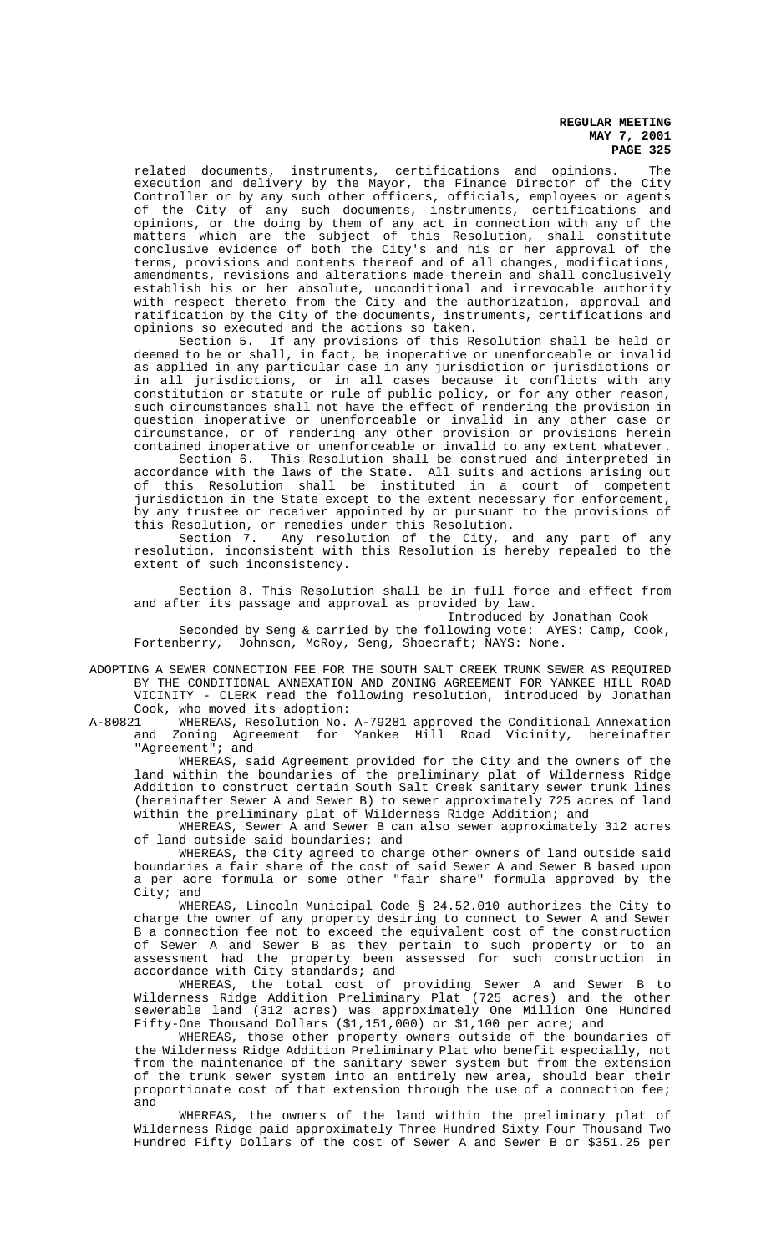related documents, instruments, certifications and opinions. The execution and delivery by the Mayor, the Finance Director of the City Controller or by any such other officers, officials, employees or agents of the City of any such documents, instruments, certifications and opinions, or the doing by them of any act in connection with any of the matters which are the subject of this Resolution, shall constitute conclusive evidence of both the City's and his or her approval of the terms, provisions and contents thereof and of all changes, modifications, amendments, revisions and alterations made therein and shall conclusively establish his or her absolute, unconditional and irrevocable authority with respect thereto from the City and the authorization, approval and ratification by the City of the documents, instruments, certifications and opinions so executed and the actions so taken.

Section 5. If any provisions of this Resolution shall be held or deemed to be or shall, in fact, be inoperative or unenforceable or invalid as applied in any particular case in any jurisdiction or jurisdictions or in all jurisdictions, or in all cases because it conflicts with any constitution or statute or rule of public policy, or for any other reason, such circumstances shall not have the effect of rendering the provision in question inoperative or unenforceable or invalid in any other case or circumstance, or of rendering any other provision or provisions herein contained inoperative or unenforceable or invalid to any extent whatever.

Section 6. This Resolution shall be construed and interpreted in accordance with the laws of the State. All suits and actions arising out of this Resolution shall be instituted in a court of competent jurisdiction in the State except to the extent necessary for enforcement, by any trustee or receiver appointed by or pursuant to the provisions of this Resolution, or remedies under this Resolution.

Section 7. Any resolution of the City, and any part of any resolution, inconsistent with this Resolution is hereby repealed to the extent of such inconsistency.

Section 8. This Resolution shall be in full force and effect from and after its passage and approval as provided by law.

Introduced by Jonathan Cook

Seconded by Seng & carried by the following vote: AYES: Camp, Cook, Fortenberry, Johnson, McRoy, Seng, Shoecraft; NAYS: None.

ADOPTING A SEWER CONNECTION FEE FOR THE SOUTH SALT CREEK TRUNK SEWER AS REQUIRED BY THE CONDITIONAL ANNEXATION AND ZONING AGREEMENT FOR YANKEE HILL ROAD VICINITY - CLERK read the following resolution, introduced by Jonathan Cook, who moved its adoption:<br>A-80821 WHEREAS, Resolution No.

WHEREAS, Resolution No. A-79281 approved the Conditional Annexation and Zoning Agreement for Yankee Hill Road Vicinity, hereinafter "Agreement"; and

WHEREAS, said Agreement provided for the City and the owners of the land within the boundaries of the preliminary plat of Wilderness Ridge Addition to construct certain South Salt Creek sanitary sewer trunk lines (hereinafter Sewer A and Sewer B) to sewer approximately 725 acres of land within the preliminary plat of Wilderness Ridge Addition; and

WHEREAS, Sewer A and Sewer B can also sewer approximately 312 acres of land outside said boundaries; and

WHEREAS, the City agreed to charge other owners of land outside said boundaries a fair share of the cost of said Sewer A and Sewer B based upon a per acre formula or some other "fair share" formula approved by the City; and

WHEREAS, Lincoln Municipal Code § 24.52.010 authorizes the City to charge the owner of any property desiring to connect to Sewer A and Sewer B a connection fee not to exceed the equivalent cost of the construction of Sewer A and Sewer B as they pertain to such property or to an assessment had the property been assessed for such construction in accordance with City standards; and

WHEREAS, the total cost of providing Sewer A and Sewer B to Wilderness Ridge Addition Preliminary Plat (725 acres) and the other sewerable land (312 acres) was approximately One Million One Hundred Fifty-One Thousand Dollars (\$1,151,000) or \$1,100 per acre; and

WHEREAS, those other property owners outside of the boundaries of the Wilderness Ridge Addition Preliminary Plat who benefit especially, not from the maintenance of the sanitary sewer system but from the extension of the trunk sewer system into an entirely new area, should bear their proportionate cost of that extension through the use of a connection fee; and

WHEREAS, the owners of the land within the preliminary plat of Wilderness Ridge paid approximately Three Hundred Sixty Four Thousand Two Hundred Fifty Dollars of the cost of Sewer A and Sewer B or \$351.25 per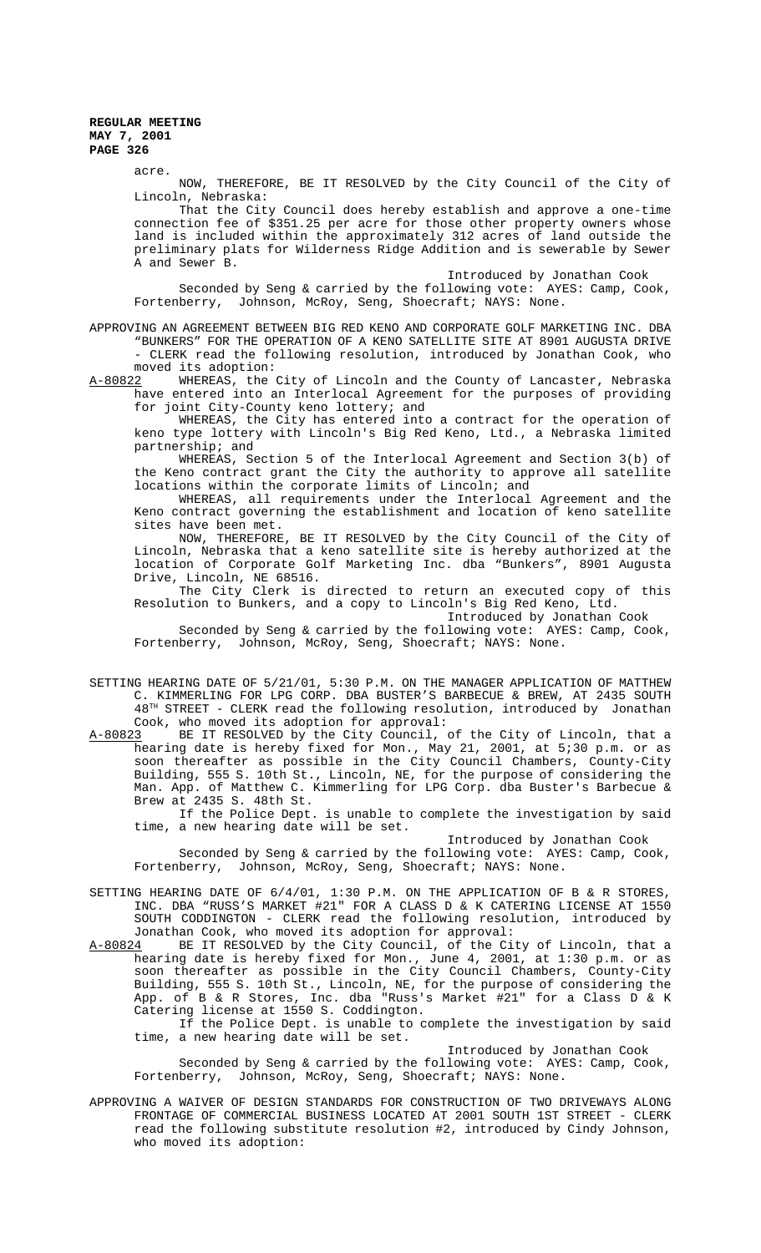acre.

NOW, THEREFORE, BE IT RESOLVED by the City Council of the City of Lincoln, Nebraska:

That the City Council does hereby establish and approve a one-time connection fee of \$351.25 per acre for those other property owners whose land is included within the approximately 312 acres of land outside the preliminary plats for Wilderness Ridge Addition and is sewerable by Sewer A and Sewer B.

Introduced by Jonathan Cook

Seconded by Seng & carried by the following vote: AYES: Camp, Cook, Fortenberry, Johnson, McRoy, Seng, Shoecraft; NAYS: None.

APPROVING AN AGREEMENT BETWEEN BIG RED KENO AND CORPORATE GOLF MARKETING INC. DBA "BUNKERS" FOR THE OPERATION OF A KENO SATELLITE SITE AT 8901 AUGUSTA DRIVE

- CLERK read the following resolution, introduced by Jonathan Cook, who moved its adoption:<br>A-80822 WHEREAS, the

WHEREAS, the City of Lincoln and the County of Lancaster, Nebraska have entered into an Interlocal Agreement for the purposes of providing for joint City-County keno lottery; and

WHEREAS, the City has entered into a contract for the operation of keno type lottery with Lincoln's Big Red Keno, Ltd., a Nebraska limited partnership; and

WHEREAS, Section 5 of the Interlocal Agreement and Section 3(b) of the Keno contract grant the City the authority to approve all satellite locations within the corporate limits of Lincoln; and

WHEREAS, all requirements under the Interlocal Agreement and the Keno contract governing the establishment and location of keno satellite sites have been met.

NOW, THEREFORE, BE IT RESOLVED by the City Council of the City of Lincoln, Nebraska that a keno satellite site is hereby authorized at the location of Corporate Golf Marketing Inc. dba "Bunkers", 8901 Augusta Drive, Lincoln, NE 68516.

The City Clerk is directed to return an executed copy of this Resolution to Bunkers, and a copy to Lincoln's Big Red Keno, Ltd.

Introduced by Jonathan Cook

Seconded by Seng & carried by the following vote: AYES: Camp, Cook, Fortenberry, Johnson, McRoy, Seng, Shoecraft; NAYS: None.

- SETTING HEARING DATE OF 5/21/01, 5:30 P.M. ON THE MANAGER APPLICATION OF MATTHEW C. KIMMERLING FOR LPG CORP. DBA BUSTER'S BARBECUE & BREW, AT 2435 SOUTH  $48<sup>TH</sup>$  STREET - CLERK read the following resolution, introduced by Jonathan Cook, who moved its adoption for approval:<br>A-80823 BE IT RESOLVED by the City Council,
- A-80823 BE IT RESOLVED by the City Council, of the City of Lincoln, that a hearing date is hereby fixed for Mon., May 21, 2001, at 5;30 p.m. or as soon thereafter as possible in the City Council Chambers, County-City Building, 555 S. 10th St., Lincoln, NE, for the purpose of considering the Man. App. of Matthew C. Kimmerling for LPG Corp. dba Buster's Barbecue & Brew at 2435 S. 48th St.

If the Police Dept. is unable to complete the investigation by said time, a new hearing date will be set.

# Introduced by Jonathan Cook

Seconded by Seng & carried by the following vote: AYES: Camp, Cook, Fortenberry, Johnson, McRoy, Seng, Shoecraft; NAYS: None.

- SETTING HEARING DATE OF 6/4/01, 1:30 P.M. ON THE APPLICATION OF B & R STORES, INC. DBA "RUSS'S MARKET #21" FOR A CLASS D & K CATERING LICENSE AT 1550 SOUTH CODDINGTON - CLERK read the following resolution, introduced by Jonathan Cook, who moved its adoption for approval:
- A-80824 BE IT RESOLVED by the City Council, of the City of Lincoln, that a hearing date is hereby fixed for Mon., June 4, 2001, at 1:30 p.m. or as soon thereafter as possible in the City Council Chambers, County-City Building, 555 S. 10th St., Lincoln, NE, for the purpose of considering the App. of B & R Stores, Inc. dba "Russ's Market #21" for a Class D & K Catering license at 1550 S. Coddington.

If the Police Dept. is unable to complete the investigation by said time, a new hearing date will be set.

Introduced by Jonathan Cook

Seconded by Seng & carried by the following vote: AYES: Camp, Cook, Fortenberry, Johnson, McRoy, Seng, Shoecraft; NAYS: None.

APPROVING A WAIVER OF DESIGN STANDARDS FOR CONSTRUCTION OF TWO DRIVEWAYS ALONG FRONTAGE OF COMMERCIAL BUSINESS LOCATED AT 2001 SOUTH 1ST STREET - CLERK read the following substitute resolution #2, introduced by Cindy Johnson, who moved its adoption: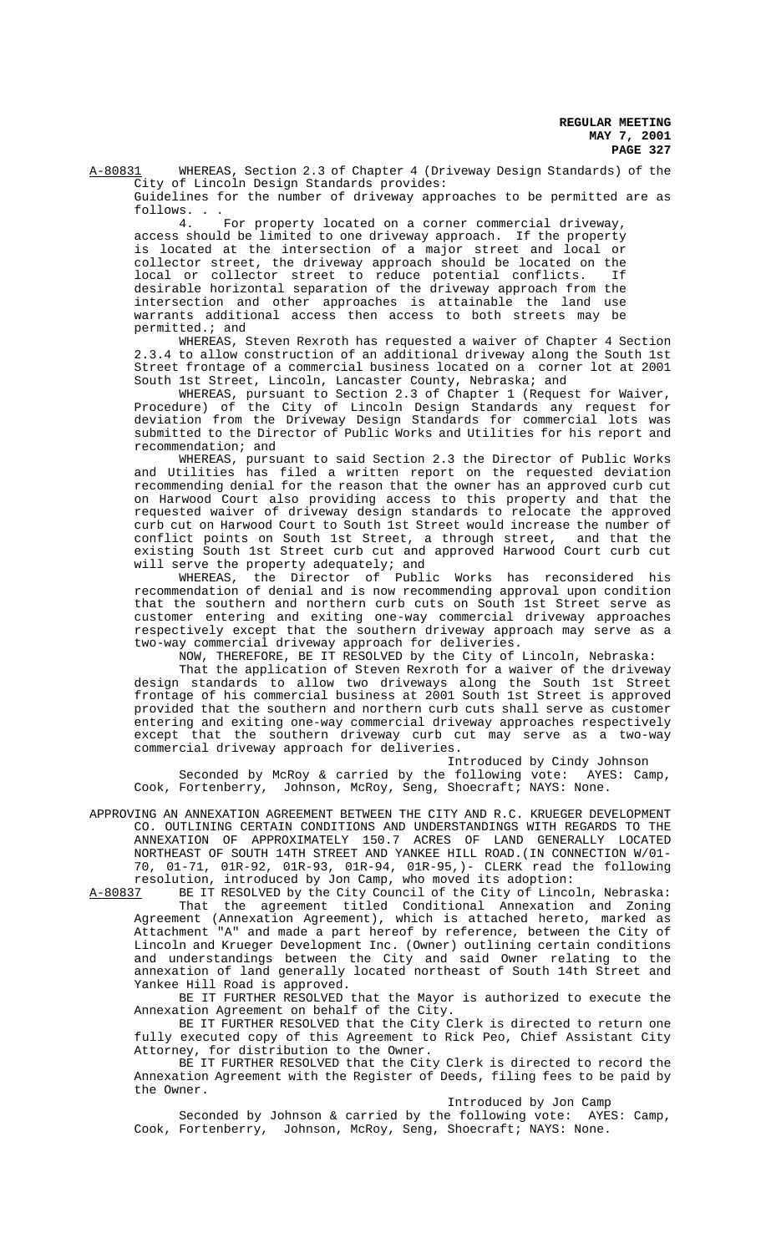A-80831 WHEREAS, Section 2.3 of Chapter 4 (Driveway Design Standards) of the City of Lincoln Design Standards provides:

Guidelines for the number of driveway approaches to be permitted are as follows. . .

4. For property located on a corner commercial driveway, access should be limited to one driveway approach. If the property is located at the intersection of a major street and local or collector street, the driveway approach should be located on the local or collector street to reduce potential conflicts. If desirable horizontal separation of the driveway approach from the intersection and other approaches is attainable the land use warrants additional access then access to both streets may be permitted.; and

WHEREAS, Steven Rexroth has requested a waiver of Chapter 4 Section 2.3.4 to allow construction of an additional driveway along the South 1st Street frontage of a commercial business located on a corner lot at 2001 South 1st Street, Lincoln, Lancaster County, Nebraska; and

WHEREAS, pursuant to Section 2.3 of Chapter 1 (Request for Waiver, Procedure) of the City of Lincoln Design Standards any request for deviation from the Driveway Design Standards for commercial lots was submitted to the Director of Public Works and Utilities for his report and recommendation; and

WHEREAS, pursuant to said Section 2.3 the Director of Public Works and Utilities has filed a written report on the requested deviation recommending denial for the reason that the owner has an approved curb cut on Harwood Court also providing access to this property and that the requested waiver of driveway design standards to relocate the approved curb cut on Harwood Court to South 1st Street would increase the number of conflict points on South 1st Street, a through street, and that the existing South 1st Street curb cut and approved Harwood Court curb cut will serve the property adequately; and

WHEREAS, the Director of Public Works has reconsidered his recommendation of denial and is now recommending approval upon condition that the southern and northern curb cuts on South 1st Street serve as customer entering and exiting one-way commercial driveway approaches respectively except that the southern driveway approach may serve as a two-way commercial driveway approach for deliveries.

NOW, THEREFORE, BE IT RESOLVED by the City of Lincoln, Nebraska:

That the application of Steven Rexroth for a waiver of the driveway design standards to allow two driveways along the South 1st Street frontage of his commercial business at 2001 South 1st Street is approved provided that the southern and northern curb cuts shall serve as customer entering and exiting one-way commercial driveway approaches respectively except that the southern driveway curb cut may serve as a two-way commercial driveway approach for deliveries.

Introduced by Cindy Johnson

Seconded by McRoy & carried by the following vote: AYES: Camp, Cook, Fortenberry, Johnson, McRoy, Seng, Shoecraft; NAYS: None.

APPROVING AN ANNEXATION AGREEMENT BETWEEN THE CITY AND R.C. KRUEGER DEVELOPMENT CO. OUTLINING CERTAIN CONDITIONS AND UNDERSTANDINGS WITH REGARDS TO THE ANNEXATION OF APPROXIMATELY 150.7 ACRES OF LAND GENERALLY LOCATED NORTHEAST OF SOUTH 14TH STREET AND YANKEE HILL ROAD.(IN CONNECTION W/01- 70, 01-71, 01R-92, 01R-93, 01R-94, 01R-95,)- CLERK read the following resolution, introduced by Jon Camp, who moved its adoption:

A-80837 BE IT RESOLVED by the City Council of the City of Lincoln, Nebraska: That the agreement titled Conditional Annexation and Zoning Agreement (Annexation Agreement), which is attached hereto, marked as Attachment "A" and made a part hereof by reference, between the City of Lincoln and Krueger Development Inc. (Owner) outlining certain conditions and understandings between the City and said Owner relating to the annexation of land generally located northeast of South 14th Street and Yankee Hill Road is approved.

BE IT FURTHER RESOLVED that the Mayor is authorized to execute the Annexation Agreement on behalf of the City.

BE IT FURTHER RESOLVED that the City Clerk is directed to return one fully executed copy of this Agreement to Rick Peo, Chief Assistant City Attorney, for distribution to the Owner.

BE IT FURTHER RESOLVED that the City Clerk is directed to record the Annexation Agreement with the Register of Deeds, filing fees to be paid by the Owner.

Introduced by Jon Camp

Seconded by Johnson & carried by the following vote: AYES: Camp, Cook, Fortenberry, Johnson, McRoy, Seng, Shoecraft; NAYS: None.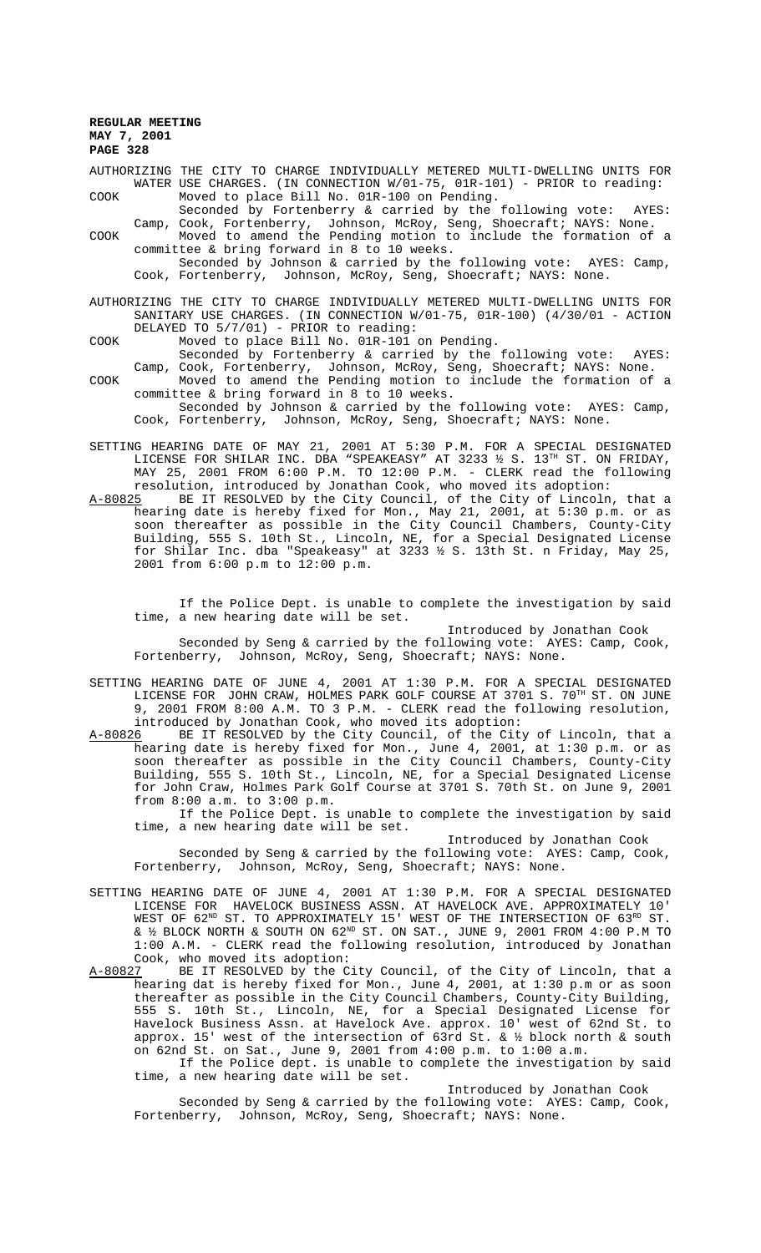- AUTHORIZING THE CITY TO CHARGE INDIVIDUALLY METERED MULTI-DWELLING UNITS FOR WATER USE CHARGES. (IN CONNECTION W/01-75, 01R-101) - PRIOR to reading: COOK Moved to place Bill No. 01R-100 on Pending.
- Seconded by Fortenberry & carried by the following vote: AYES: Camp, Cook, Fortenberry, Johnson, McRoy, Seng, Shoecraft; NAYS: None.
- COOK Moved to amend the Pending motion to include the formation of a committee & bring forward in 8 to 10 weeks. Seconded by Johnson & carried by the following vote: AYES: Camp,
	- Cook, Fortenberry, Johnson, McRoy, Seng, Shoecraft; NAYS: None.
- AUTHORIZING THE CITY TO CHARGE INDIVIDUALLY METERED MULTI-DWELLING UNITS FOR SANITARY USE CHARGES. (IN CONNECTION W/01-75, 01R-100) (4/30/01 - ACTION DELAYED TO 5/7/01) - PRIOR to reading:
- COOK Moved to place Bill No. 01R-101 on Pending.
- Seconded by Fortenberry & carried by the following vote: AYES: Camp, Cook, Fortenberry, Johnson, McRoy, Seng, Shoecraft; NAYS: None.
- COOK Moved to amend the Pending motion to include the formation of a committee & bring forward in 8 to 10 weeks. Seconded by Johnson & carried by the following vote: AYES: Camp, Cook, Fortenberry, Johnson, McRoy, Seng, Shoecraft; NAYS: None.
- SETTING HEARING DATE OF MAY 21, 2001 AT 5:30 P.M. FOR A SPECIAL DESIGNATED LICENSE FOR SHILAR INC. DBA "SPEAKEASY" AT 3233  $\frac{1}{2}$  S. 13<sup>TH</sup> ST. ON FRIDAY, MAY 25, 2001 FROM 6:00 P.M. TO 12:00 P.M. - CLERK read the following resolution, introduced by Jonathan Cook, who moved its adoption:
- A-80825 BE IT RESOLVED by the City Council, of the City of Lincoln, that a hearing date is hereby fixed for Mon., May 21, 2001, at 5:30 p.m. or as soon thereafter as possible in the City Council Chambers, County-City Building, 555 S. 10th St., Lincoln, NE, for a Special Designated License for Shilar Inc. dba "Speakeasy" at 3233 ½ S. 13th St. n Friday, May 25, 2001 from 6:00 p.m to 12:00 p.m.

If the Police Dept. is unable to complete the investigation by said time, a new hearing date will be set.

Introduced by Jonathan Cook

Seconded by Seng & carried by the following vote: AYES: Camp, Cook, Fortenberry, Johnson, McRoy, Seng, Shoecraft; NAYS: None.

- SETTING HEARING DATE OF JUNE 4, 2001 AT 1:30 P.M. FOR A SPECIAL DESIGNATED LICENSE FOR JOHN CRAW, HOLMES PARK GOLF COURSE AT 3701 S. 70<sup>TH</sup> ST. ON JUNE 9, 2001 FROM 8:00 A.M. TO 3 P.M. - CLERK read the following resolution, introduced by Jonathan Cook, who moved its adoption:<br>A-80826 BE IT RESOLVED by the City Council, of the City
- A-80826 BE IT RESOLVED by the City Council, of the City of Lincoln, that a hearing date is hereby fixed for Mon., June 4, 2001, at 1:30 p.m. or as soon thereafter as possible in the City Council Chambers, County-City Building, 555 S. 10th St., Lincoln, NE, for a Special Designated License for John Craw, Holmes Park Golf Course at 3701 S. 70th St. on June 9, 2001 from 8:00 a.m. to 3:00 p.m.

If the Police Dept. is unable to complete the investigation by said time, a new hearing date will be set.

Introduced by Jonathan Cook Seconded by Seng & carried by the following vote: AYES: Camp, Cook, Fortenberry, Johnson, McRoy, Seng, Shoecraft; NAYS: None.

- SETTING HEARING DATE OF JUNE 4, 2001 AT 1:30 P.M. FOR A SPECIAL DESIGNATED LICENSE FOR HAVELOCK BUSINESS ASSN. AT HAVELOCK AVE. APPROXIMATELY 10' WEST OF  $62^{\text{ND}}$  ST. TO APPROXIMATELY 15' WEST OF THE INTERSECTION OF  $63^{\text{RD}}$  ST.  $\&$  ½ BLOCK NORTH & SOUTH ON 62<sup>ND</sup> ST. ON SAT., JUNE 9, 2001 FROM 4:00 P.M TO 1:00 A.M. - CLERK read the following resolution, introduced by Jonathan
- Cook, who moved its adoption:<br>A-80827 BE IT RESOLVED by the C A-80827 BE IT RESOLVED by the City Council, of the City of Lincoln, that a hearing dat is hereby fixed for Mon., June 4, 2001, at 1:30 p.m or as soon thereafter as possible in the City Council Chambers, County-City Building, 555 S. 10th St., Lincoln, NE, for a Special Designated License for Havelock Business Assn. at Havelock Ave. approx. 10' west of 62nd St. to approx. 15' west of the intersection of 63rd St. &  $\frac{1}{2}$  block north & south on 62nd St. on Sat., June 9, 2001 from 4:00 p.m. to 1:00 a.m.

If the Police dept. is unable to complete the investigation by said time, a new hearing date will be set.

Introduced by Jonathan Cook

Seconded by Seng & carried by the following vote: AYES: Camp, Cook, Fortenberry, Johnson, McRoy, Seng, Shoecraft; NAYS: None.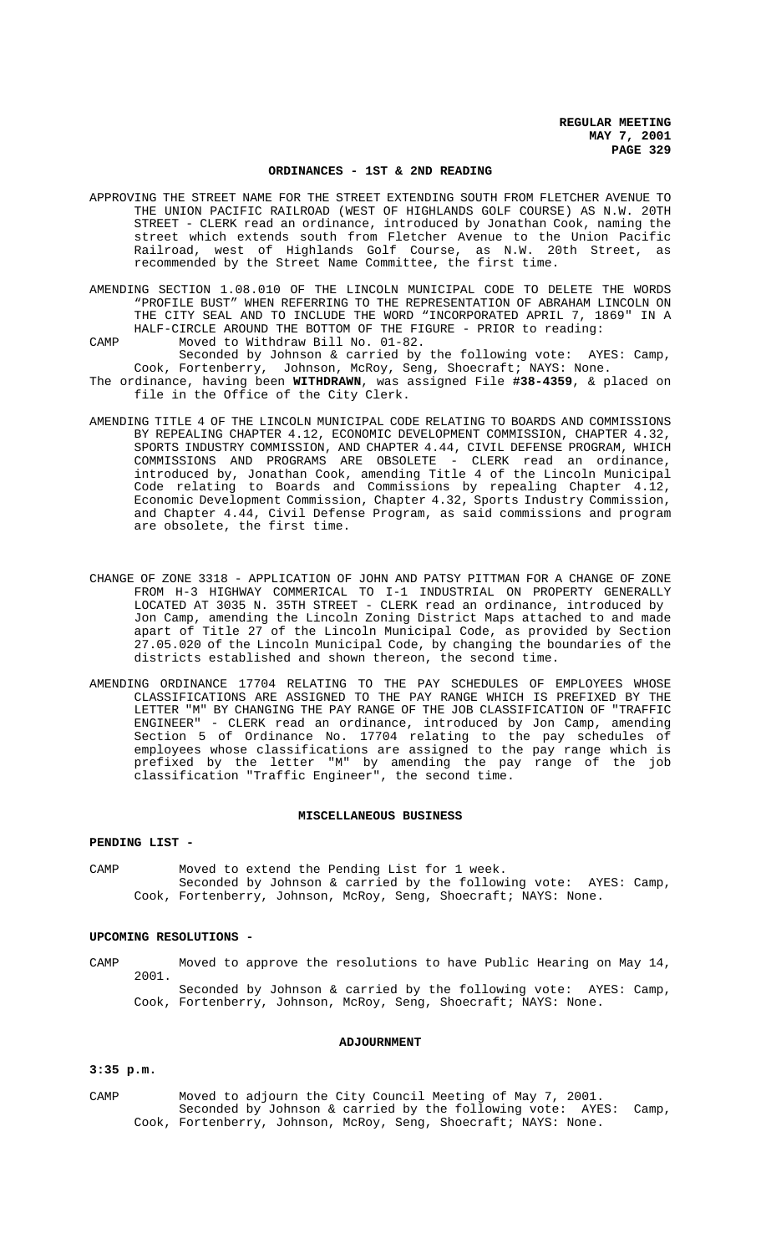#### **ORDINANCES - 1ST & 2ND READING**

- APPROVING THE STREET NAME FOR THE STREET EXTENDING SOUTH FROM FLETCHER AVENUE TO THE UNION PACIFIC RAILROAD (WEST OF HIGHLANDS GOLF COURSE) AS N.W. 20TH STREET - CLERK read an ordinance, introduced by Jonathan Cook, naming the street which extends south from Fletcher Avenue to the Union Pacific Railroad, west of Highlands Golf Course, as N.W. 20th Street, as recommended by the Street Name Committee, the first time.
- AMENDING SECTION 1.08.010 OF THE LINCOLN MUNICIPAL CODE TO DELETE THE WORDS "PROFILE BUST" WHEN REFERRING TO THE REPRESENTATION OF ABRAHAM LINCOLN ON THE CITY SEAL AND TO INCLUDE THE WORD "INCORPORATED APRIL 7, 1869" IN A HALF-CIRCLE AROUND THE BOTTOM OF THE FIGURE - PRIOR to reading: CAMP Moved to Withdraw Bill No. 01-82.
- Seconded by Johnson & carried by the following vote: AYES: Camp, Cook, Fortenberry, Johnson, McRoy, Seng, Shoecraft; NAYS: None.
- The ordinance, having been **WITHDRAWN**, was assigned File **#38-4359**, & placed on file in the Office of the City Clerk.
- AMENDING TITLE 4 OF THE LINCOLN MUNICIPAL CODE RELATING TO BOARDS AND COMMISSIONS BY REPEALING CHAPTER 4.12, ECONOMIC DEVELOPMENT COMMISSION, CHAPTER 4.32, SPORTS INDUSTRY COMMISSION, AND CHAPTER 4.44, CIVIL DEFENSE PROGRAM, WHICH COMMISSIONS AND PROGRAMS ARE OBSOLETE - CLERK read an ordinance, introduced by, Jonathan Cook, amending Title 4 of the Lincoln Municipal Code relating to Boards and Commissions by repealing Chapter 4.12, Economic Development Commission, Chapter 4.32, Sports Industry Commission, and Chapter 4.44, Civil Defense Program, as said commissions and program are obsolete, the first time.
- CHANGE OF ZONE 3318 APPLICATION OF JOHN AND PATSY PITTMAN FOR A CHANGE OF ZONE FROM H-3 HIGHWAY COMMERICAL TO I-1 INDUSTRIAL ON PROPERTY GENERALLY LOCATED AT 3035 N. 35TH STREET - CLERK read an ordinance, introduced by Jon Camp, amending the Lincoln Zoning District Maps attached to and made apart of Title 27 of the Lincoln Municipal Code, as provided by Section 27.05.020 of the Lincoln Municipal Code, by changing the boundaries of the districts established and shown thereon, the second time.
- AMENDING ORDINANCE 17704 RELATING TO THE PAY SCHEDULES OF EMPLOYEES WHOSE CLASSIFICATIONS ARE ASSIGNED TO THE PAY RANGE WHICH IS PREFIXED BY THE LETTER "M" BY CHANGING THE PAY RANGE OF THE JOB CLASSIFICATION OF "TRAFFIC ENGINEER" - CLERK read an ordinance, introduced by Jon Camp, amending Section 5 of Ordinance No. 17704 relating to the pay schedules of employees whose classifications are assigned to the pay range which is prefixed by the letter "M" by amending the pay range of the job classification "Traffic Engineer", the second time.

#### **MISCELLANEOUS BUSINESS**

### **PENDING LIST -**

CAMP Moved to extend the Pending List for 1 week. Seconded by Johnson & carried by the following vote: AYES: Camp, Cook, Fortenberry, Johnson, McRoy, Seng, Shoecraft; NAYS: None.

### **UPCOMING RESOLUTIONS -**

CAMP Moved to approve the resolutions to have Public Hearing on May 14, 2001. Seconded by Johnson & carried by the following vote: AYES: Camp,

Cook, Fortenberry, Johnson, McRoy, Seng, Shoecraft; NAYS: None.

#### **ADJOURNMENT**

### **3:35 p.m.**

CAMP Moved to adjourn the City Council Meeting of May 7, 2001. Seconded by Johnson & carried by the following vote: AYES: Camp, Cook, Fortenberry, Johnson, McRoy, Seng, Shoecraft; NAYS: None.